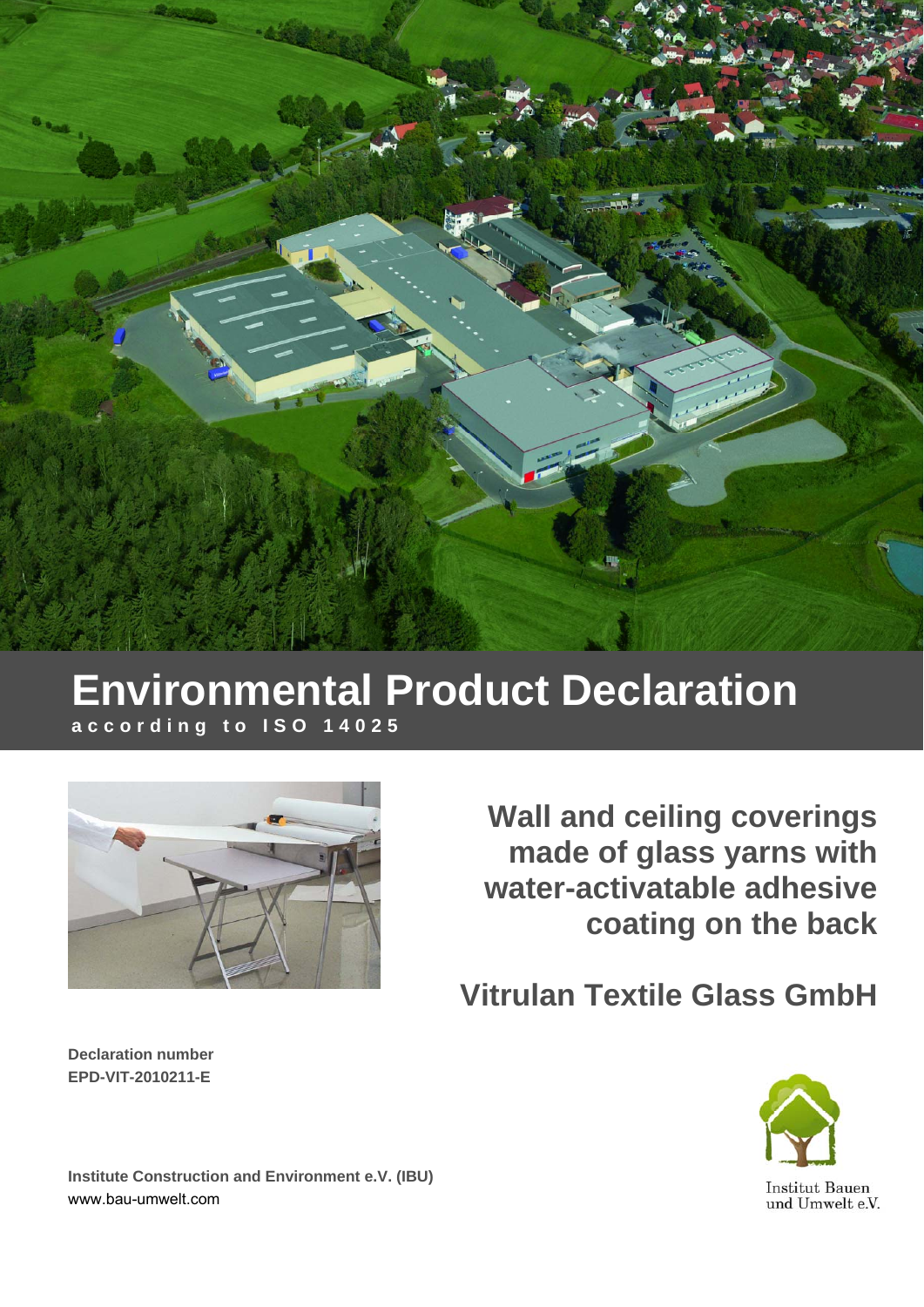

# **Environmental Product Declaration according to ISO 14025**



**Wall and ceiling coverings made of glass yarns with water-activatable adhesive coating on the back**

**Vitrulan Textile Glass GmbH**

**Declaration number EPD-VIT-2010211-E** 



**Institut Bauen** und Umwelt e.V.

**Institute Construction and Environment e.V. (IBU)**  www.bau-umwelt.com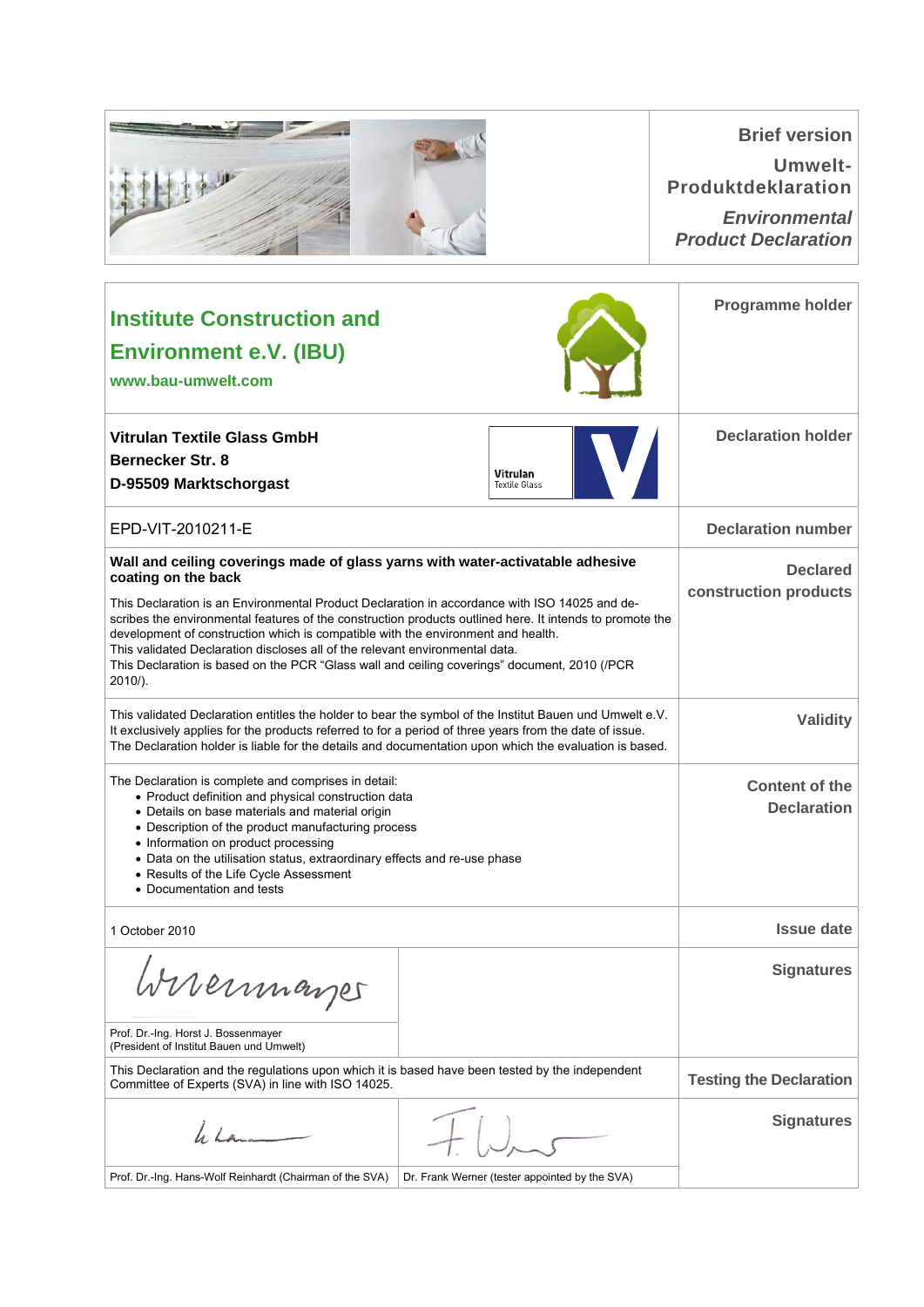|                                                                                                                                                                                                                                                                                                                                                                                                                                                                                                                                                                                                      |                                                | <b>Brief version</b><br><b>Umwelt-</b><br><b>Produktdeklaration</b><br><b>Environmental</b><br><b>Product Declaration</b> |
|------------------------------------------------------------------------------------------------------------------------------------------------------------------------------------------------------------------------------------------------------------------------------------------------------------------------------------------------------------------------------------------------------------------------------------------------------------------------------------------------------------------------------------------------------------------------------------------------------|------------------------------------------------|---------------------------------------------------------------------------------------------------------------------------|
| <b>Institute Construction and</b><br><b>Environment e.V. (IBU)</b><br>www.bau-umwelt.com                                                                                                                                                                                                                                                                                                                                                                                                                                                                                                             |                                                | <b>Programme holder</b>                                                                                                   |
| <b>Vitrulan Textile Glass GmbH</b><br><b>Bernecker Str. 8</b><br>D-95509 Marktschorgast                                                                                                                                                                                                                                                                                                                                                                                                                                                                                                              | <b>Vitrulan</b><br><b>Textile Glass</b>        | <b>Declaration holder</b>                                                                                                 |
| EPD-VIT-2010211-E                                                                                                                                                                                                                                                                                                                                                                                                                                                                                                                                                                                    |                                                | <b>Declaration number</b>                                                                                                 |
| Wall and ceiling coverings made of glass yarns with water-activatable adhesive<br>coating on the back<br>This Declaration is an Environmental Product Declaration in accordance with ISO 14025 and de-<br>scribes the environmental features of the construction products outlined here. It intends to promote the<br>development of construction which is compatible with the environment and health.<br>This validated Declaration discloses all of the relevant environmental data.<br>This Declaration is based on the PCR "Glass wall and ceiling coverings" document, 2010 (/PCR<br>$2010/$ ). |                                                | <b>Declared</b><br>construction products                                                                                  |
| This validated Declaration entitles the holder to bear the symbol of the Institut Bauen und Umwelt e.V.<br>It exclusively applies for the products referred to for a period of three years from the date of issue.<br>The Declaration holder is liable for the details and documentation upon which the evaluation is based.                                                                                                                                                                                                                                                                         |                                                | <b>Validity</b>                                                                                                           |
| The Declaration is complete and comprises in detail:<br>• Product definition and physical construction data<br>• Details on base materials and material origin<br>• Description of the product manufacturing process<br>• Information on product processing<br>• Data on the utilisation status, extraordinary effects and re-use phase<br>• Results of the Life Cycle Assessment<br>• Documentation and tests                                                                                                                                                                                       |                                                | <b>Content of the</b><br><b>Declaration</b>                                                                               |
| 1 October 2010                                                                                                                                                                                                                                                                                                                                                                                                                                                                                                                                                                                       |                                                | <b>Issue date</b>                                                                                                         |
| Wirermayer                                                                                                                                                                                                                                                                                                                                                                                                                                                                                                                                                                                           |                                                | <b>Signatures</b>                                                                                                         |
| Prof. Dr.-Ing. Horst J. Bossenmayer<br>(President of Institut Bauen und Umwelt)                                                                                                                                                                                                                                                                                                                                                                                                                                                                                                                      |                                                |                                                                                                                           |
| This Declaration and the regulations upon which it is based have been tested by the independent<br>Committee of Experts (SVA) in line with ISO 14025.                                                                                                                                                                                                                                                                                                                                                                                                                                                |                                                | <b>Testing the Declaration</b>                                                                                            |
| 4.14                                                                                                                                                                                                                                                                                                                                                                                                                                                                                                                                                                                                 |                                                | <b>Signatures</b>                                                                                                         |
| Prof. Dr.-Ing. Hans-Wolf Reinhardt (Chairman of the SVA)                                                                                                                                                                                                                                                                                                                                                                                                                                                                                                                                             | Dr. Frank Werner (tester appointed by the SVA) |                                                                                                                           |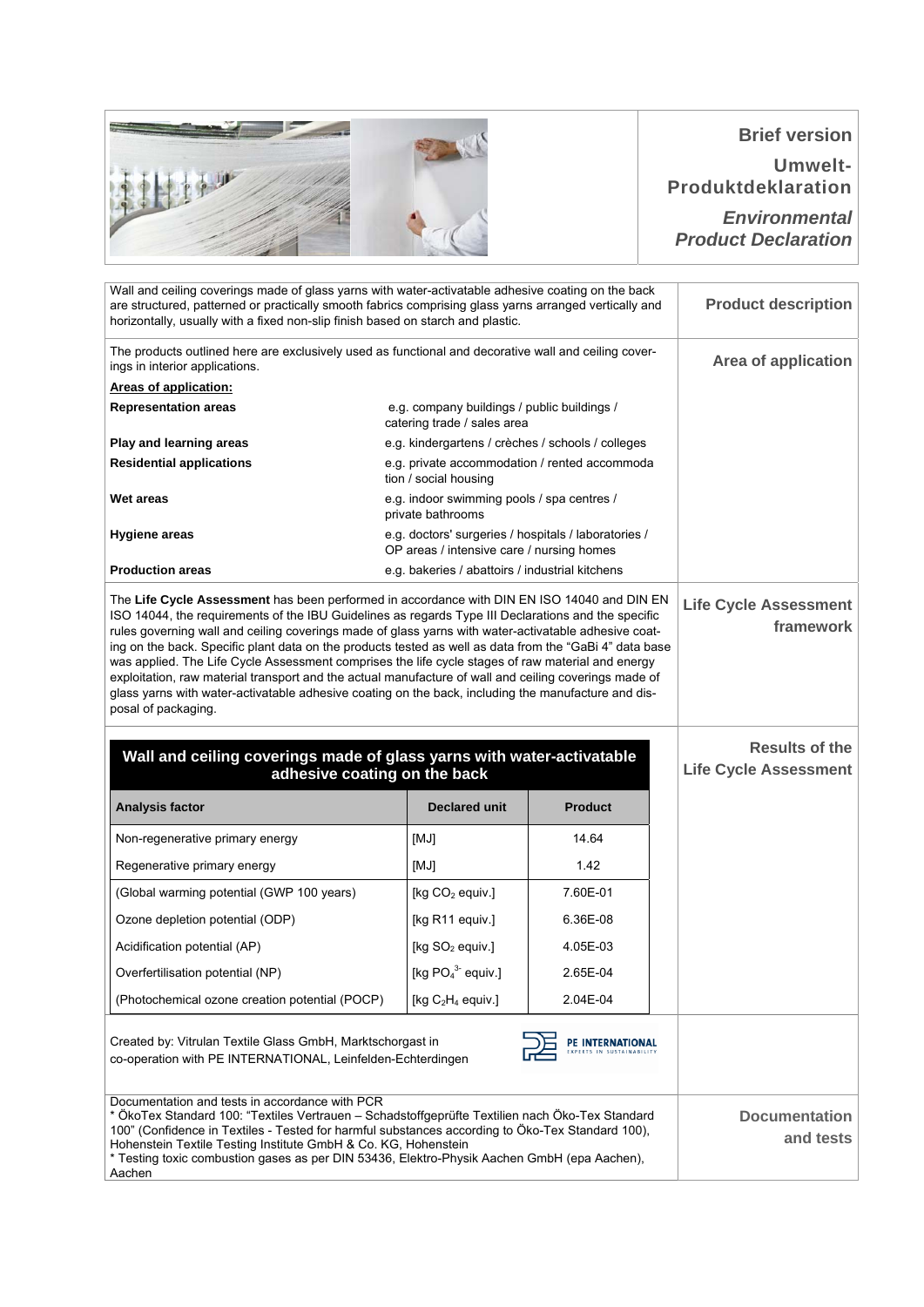## **Brief version**

**Umwelt-Produktdeklaration**

*Environmental Product Declaration*

| Wall and ceiling coverings made of glass yarns with water-activatable adhesive coating on the back<br>are structured, patterned or practically smooth fabrics comprising glass yarns arranged vertically and                                                                                                                                                                                                                                                                                                                                                                                                                                                                                                                                                      |                                                                                                   |                  | <b>Product description</b>                            |
|-------------------------------------------------------------------------------------------------------------------------------------------------------------------------------------------------------------------------------------------------------------------------------------------------------------------------------------------------------------------------------------------------------------------------------------------------------------------------------------------------------------------------------------------------------------------------------------------------------------------------------------------------------------------------------------------------------------------------------------------------------------------|---------------------------------------------------------------------------------------------------|------------------|-------------------------------------------------------|
| horizontally, usually with a fixed non-slip finish based on starch and plastic.                                                                                                                                                                                                                                                                                                                                                                                                                                                                                                                                                                                                                                                                                   |                                                                                                   |                  |                                                       |
| The products outlined here are exclusively used as functional and decorative wall and ceiling cover-<br>ings in interior applications.                                                                                                                                                                                                                                                                                                                                                                                                                                                                                                                                                                                                                            |                                                                                                   |                  | <b>Area of application</b>                            |
| <b>Areas of application:</b>                                                                                                                                                                                                                                                                                                                                                                                                                                                                                                                                                                                                                                                                                                                                      |                                                                                                   |                  |                                                       |
| <b>Representation areas</b>                                                                                                                                                                                                                                                                                                                                                                                                                                                                                                                                                                                                                                                                                                                                       | e.g. company buildings / public buildings /<br>catering trade / sales area                        |                  |                                                       |
| Play and learning areas                                                                                                                                                                                                                                                                                                                                                                                                                                                                                                                                                                                                                                                                                                                                           | e.g. kindergartens / crèches / schools / colleges                                                 |                  |                                                       |
| <b>Residential applications</b>                                                                                                                                                                                                                                                                                                                                                                                                                                                                                                                                                                                                                                                                                                                                   | e.g. private accommodation / rented accommoda<br>tion / social housing                            |                  |                                                       |
| Wet areas                                                                                                                                                                                                                                                                                                                                                                                                                                                                                                                                                                                                                                                                                                                                                         | e.g. indoor swimming pools / spa centres /<br>private bathrooms                                   |                  |                                                       |
| <b>Hygiene areas</b>                                                                                                                                                                                                                                                                                                                                                                                                                                                                                                                                                                                                                                                                                                                                              | e.g. doctors' surgeries / hospitals / laboratories /<br>OP areas / intensive care / nursing homes |                  |                                                       |
| <b>Production areas</b>                                                                                                                                                                                                                                                                                                                                                                                                                                                                                                                                                                                                                                                                                                                                           | e.g. bakeries / abattoirs / industrial kitchens                                                   |                  |                                                       |
| The Life Cycle Assessment has been performed in accordance with DIN EN ISO 14040 and DIN EN<br>ISO 14044, the requirements of the IBU Guidelines as regards Type III Declarations and the specific<br>rules governing wall and ceiling coverings made of glass yarns with water-activatable adhesive coat-<br>ing on the back. Specific plant data on the products tested as well as data from the "GaBi 4" data base<br>was applied. The Life Cycle Assessment comprises the life cycle stages of raw material and energy<br>exploitation, raw material transport and the actual manufacture of wall and ceiling coverings made of<br>glass yarns with water-activatable adhesive coating on the back, including the manufacture and dis-<br>posal of packaging. |                                                                                                   |                  | <b>Life Cycle Assessment</b><br>framework             |
| Wall and ceiling coverings made of glass yarns with water-activatable                                                                                                                                                                                                                                                                                                                                                                                                                                                                                                                                                                                                                                                                                             | adhesive coating on the back                                                                      |                  | <b>Results of the</b><br><b>Life Cycle Assessment</b> |
| Analysis factor                                                                                                                                                                                                                                                                                                                                                                                                                                                                                                                                                                                                                                                                                                                                                   | <b>Declared unit</b>                                                                              | <b>Product</b>   |                                                       |
| Non-regenerative primary energy                                                                                                                                                                                                                                                                                                                                                                                                                                                                                                                                                                                                                                                                                                                                   | [MJ]                                                                                              |                  |                                                       |
|                                                                                                                                                                                                                                                                                                                                                                                                                                                                                                                                                                                                                                                                                                                                                                   |                                                                                                   | 14.64            |                                                       |
| Regenerative primary energy                                                                                                                                                                                                                                                                                                                                                                                                                                                                                                                                                                                                                                                                                                                                       | [MJ]                                                                                              | 1.42             |                                                       |
| (Global warming potential (GWP 100 years)                                                                                                                                                                                                                                                                                                                                                                                                                                                                                                                                                                                                                                                                                                                         | [kg CO <sub>2</sub> equiv.]                                                                       | 7.60E-01         |                                                       |
| Ozone depletion potential (ODP)                                                                                                                                                                                                                                                                                                                                                                                                                                                                                                                                                                                                                                                                                                                                   | [kg R11 equiv.]                                                                                   | 6.36E-08         |                                                       |
| Acidification potential (AP)                                                                                                                                                                                                                                                                                                                                                                                                                                                                                                                                                                                                                                                                                                                                      | [kg $SO2$ equiv.]                                                                                 | 4.05E-03         |                                                       |
| Overfertilisation potential (NP)                                                                                                                                                                                                                                                                                                                                                                                                                                                                                                                                                                                                                                                                                                                                  | [kg $PO43$ equiv.]                                                                                | 2.65E-04         |                                                       |
| (Photochemical ozone creation potential (POCP)                                                                                                                                                                                                                                                                                                                                                                                                                                                                                                                                                                                                                                                                                                                    | [kg $C_2H_4$ equiv.]                                                                              | 2.04E-04         |                                                       |
| Created by: Vitrulan Textile Glass GmbH, Marktschorgast in<br>co-operation with PE INTERNATIONAL, Leinfelden-Echterdingen                                                                                                                                                                                                                                                                                                                                                                                                                                                                                                                                                                                                                                         |                                                                                                   | PE INTERNATIONAL |                                                       |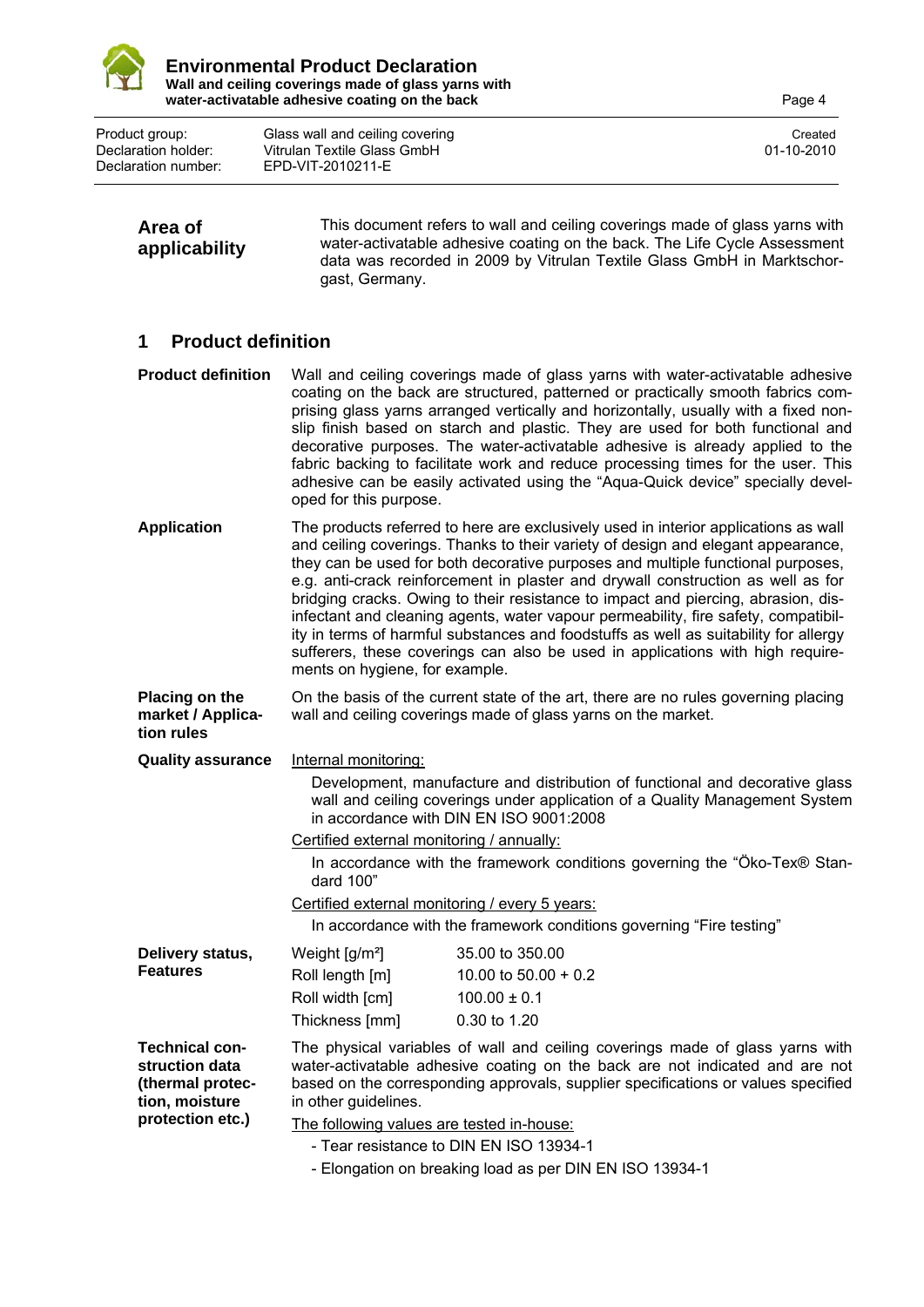

**Area of** 

Product group: Glass wall and ceiling covering<br>
Declaration holder: Vitrulan Textile Glass GmbH<br>
201-10-2010 Declaration holder: Vitrulan Textile Glass GmbH<br>Declaration number: EPD-VIT-2010211-E Declaration number: EPD-VIT-2010211-E

| applicability                                                                                     | water-activatable adhesive coating on the back. The Life Cycle Assessment<br>data was recorded in 2009 by Vitrulan Textile Glass GmbH in Marktschor-<br>gast, Germany.                                                                                                                                                                                                                                                                                                                                                                                                                                                                                                                                                                |
|---------------------------------------------------------------------------------------------------|---------------------------------------------------------------------------------------------------------------------------------------------------------------------------------------------------------------------------------------------------------------------------------------------------------------------------------------------------------------------------------------------------------------------------------------------------------------------------------------------------------------------------------------------------------------------------------------------------------------------------------------------------------------------------------------------------------------------------------------|
| <b>Product definition</b><br>1                                                                    |                                                                                                                                                                                                                                                                                                                                                                                                                                                                                                                                                                                                                                                                                                                                       |
| <b>Product definition</b>                                                                         | Wall and ceiling coverings made of glass yarns with water-activatable adhesive<br>coating on the back are structured, patterned or practically smooth fabrics com-<br>prising glass yarns arranged vertically and horizontally, usually with a fixed non-<br>slip finish based on starch and plastic. They are used for both functional and<br>decorative purposes. The water-activatable adhesive is already applied to the<br>fabric backing to facilitate work and reduce processing times for the user. This<br>adhesive can be easily activated using the "Aqua-Quick device" specially devel-<br>oped for this purpose.                                                                                                         |
| <b>Application</b>                                                                                | The products referred to here are exclusively used in interior applications as wall<br>and ceiling coverings. Thanks to their variety of design and elegant appearance,<br>they can be used for both decorative purposes and multiple functional purposes,<br>e.g. anti-crack reinforcement in plaster and drywall construction as well as for<br>bridging cracks. Owing to their resistance to impact and piercing, abrasion, dis-<br>infectant and cleaning agents, water vapour permeability, fire safety, compatibil-<br>ity in terms of harmful substances and foodstuffs as well as suitability for allergy<br>sufferers, these coverings can also be used in applications with high require-<br>ments on hygiene, for example. |
| <b>Placing on the</b><br>market / Applica-<br>tion rules                                          | On the basis of the current state of the art, there are no rules governing placing<br>wall and ceiling coverings made of glass yarns on the market.                                                                                                                                                                                                                                                                                                                                                                                                                                                                                                                                                                                   |
| <b>Quality assurance</b>                                                                          | Internal monitoring:<br>Development, manufacture and distribution of functional and decorative glass<br>wall and ceiling coverings under application of a Quality Management System<br>in accordance with DIN EN ISO 9001:2008<br>Certified external monitoring / annually:<br>In accordance with the framework conditions governing the "Öko-Tex® Stan-<br>dard 100"<br>Certified external monitoring / every 5 years:<br>In accordance with the framework conditions governing "Fire testing"                                                                                                                                                                                                                                       |
| Delivery status,<br><b>Features</b>                                                               | Weight $[g/m^2]$<br>35.00 to 350.00<br>Roll length [m]<br>10.00 to $50.00 + 0.2$<br>Roll width [cm]<br>$100.00 \pm 0.1$<br>Thickness [mm]<br>0.30 to 1.20                                                                                                                                                                                                                                                                                                                                                                                                                                                                                                                                                                             |
| <b>Technical con-</b><br>struction data<br>(thermal protec-<br>tion, moisture<br>protection etc.) | The physical variables of wall and ceiling coverings made of glass yarns with<br>water-activatable adhesive coating on the back are not indicated and are not<br>based on the corresponding approvals, supplier specifications or values specified<br>in other guidelines.<br>The following values are tested in-house:<br>- Tear resistance to DIN EN ISO 13934-1                                                                                                                                                                                                                                                                                                                                                                    |

This document refers to wall and ceiling coverings made of glass yarns with

- Elongation on breaking load as per DIN EN ISO 13934-1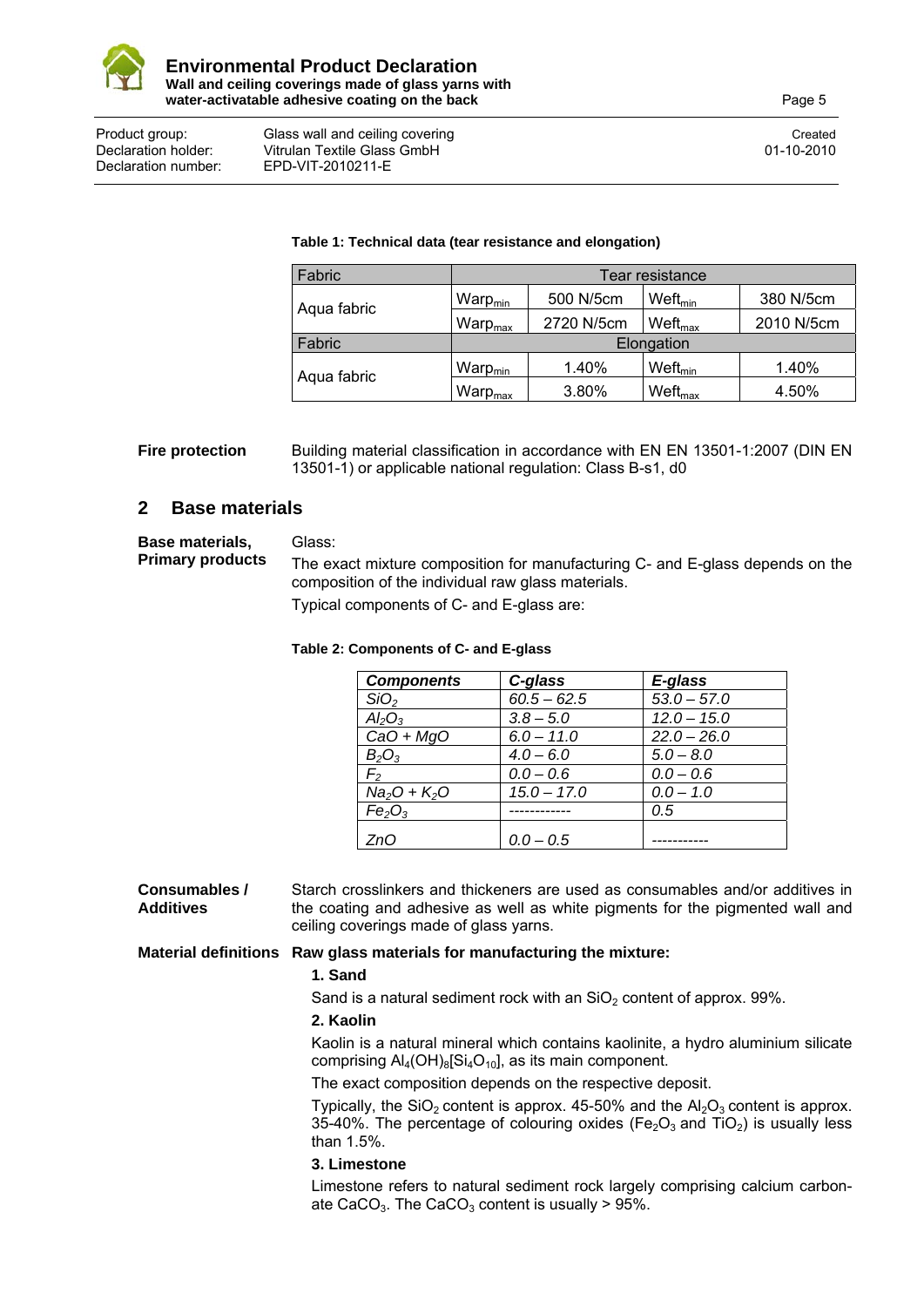

#### Product group: Glass wall and ceiling covering Created Created Created Created Declaration holder: Vitrulan Textile Glass GmbH 01-10-2010 Declaration number: EPD-VIT-2010211-E

#### **Table 1: Technical data (tear resistance and elongation)**

| Fabric      | Tear resistance      |            |                        |            |
|-------------|----------------------|------------|------------------------|------------|
| Aqua fabric | Warp $_{\text{min}}$ | 500 N/5cm  | $W$ eft <sub>min</sub> | 380 N/5cm  |
|             | War $\rm{p_{max}}$   | 2720 N/5cm | $W$ eft <sub>max</sub> | 2010 N/5cm |
| Fabric      | Elongation           |            |                        |            |
| Aqua fabric | Warp $_{\text{min}}$ | 1.40%      | $W$ eft <sub>min</sub> | 1.40%      |
|             | Warp <sub>max</sub>  | 3.80%      | Weft <sub>max</sub>    | 4.50%      |

**Fire protection** Building material classification in accordance with EN EN 13501-1:2007 (DIN EN 13501-1) or applicable national regulation: Class B-s1, d0

### **2 Base materials**

**Base materials, Primary products**  Glass: The exact mixture composition for manufacturing C- and E-glass depends on the composition of the individual raw glass materials. Typical components of C- and E-glass are:

#### **Table 2: Components of C- and E-glass**

| <b>Components</b>              | C-glass       | E-glass       |
|--------------------------------|---------------|---------------|
| SiO <sub>2</sub>               | $60.5 - 62.5$ | $53.0 - 57.0$ |
| $Al_2O_3$                      | $3.8 - 5.0$   | $12.0 - 15.0$ |
| $CaO + MgO$                    | $6.0 - 11.0$  | $22.0 - 26.0$ |
| $B_{2}O_{3}$                   | $4.0 - 6.0$   | $5.0 - 8.0$   |
| F,                             | $0.0 - 0.6$   | $0.0 - 0.6$   |
| $Na2O + K2O$                   | $15.0 - 17.0$ | $0.0 - 1.0$   |
| Fe <sub>2</sub> O <sub>3</sub> |               | 0.5           |
| ZnO                            | $0.0 - 0.5$   |               |

**Consumables / Additives**  Starch crosslinkers and thickeners are used as consumables and/or additives in the coating and adhesive as well as white pigments for the pigmented wall and ceiling coverings made of glass yarns.

### **Material definitions Raw glass materials for manufacturing the mixture:**

### **1. Sand**

Sand is a natural sediment rock with an  $SiO<sub>2</sub>$  content of approx. 99%.

### **2. Kaolin**

Kaolin is a natural mineral which contains kaolinite, a hydro aluminium silicate comprising  $Al_4(OH)_{8}[Si_4O_{10}]$ , as its main component.

The exact composition depends on the respective deposit.

Typically, the SiO<sub>2</sub> content is approx. 45-50% and the  $Al_2O_3$  content is approx. 35-40%. The percentage of colouring oxides ( $Fe<sub>2</sub>O<sub>3</sub>$  and TiO<sub>2</sub>) is usually less than 1.5%.

### **3. Limestone**

Limestone refers to natural sediment rock largely comprising calcium carbonate CaCO<sub>3</sub>. The CaCO<sub>3</sub> content is usually  $> 95\%$ .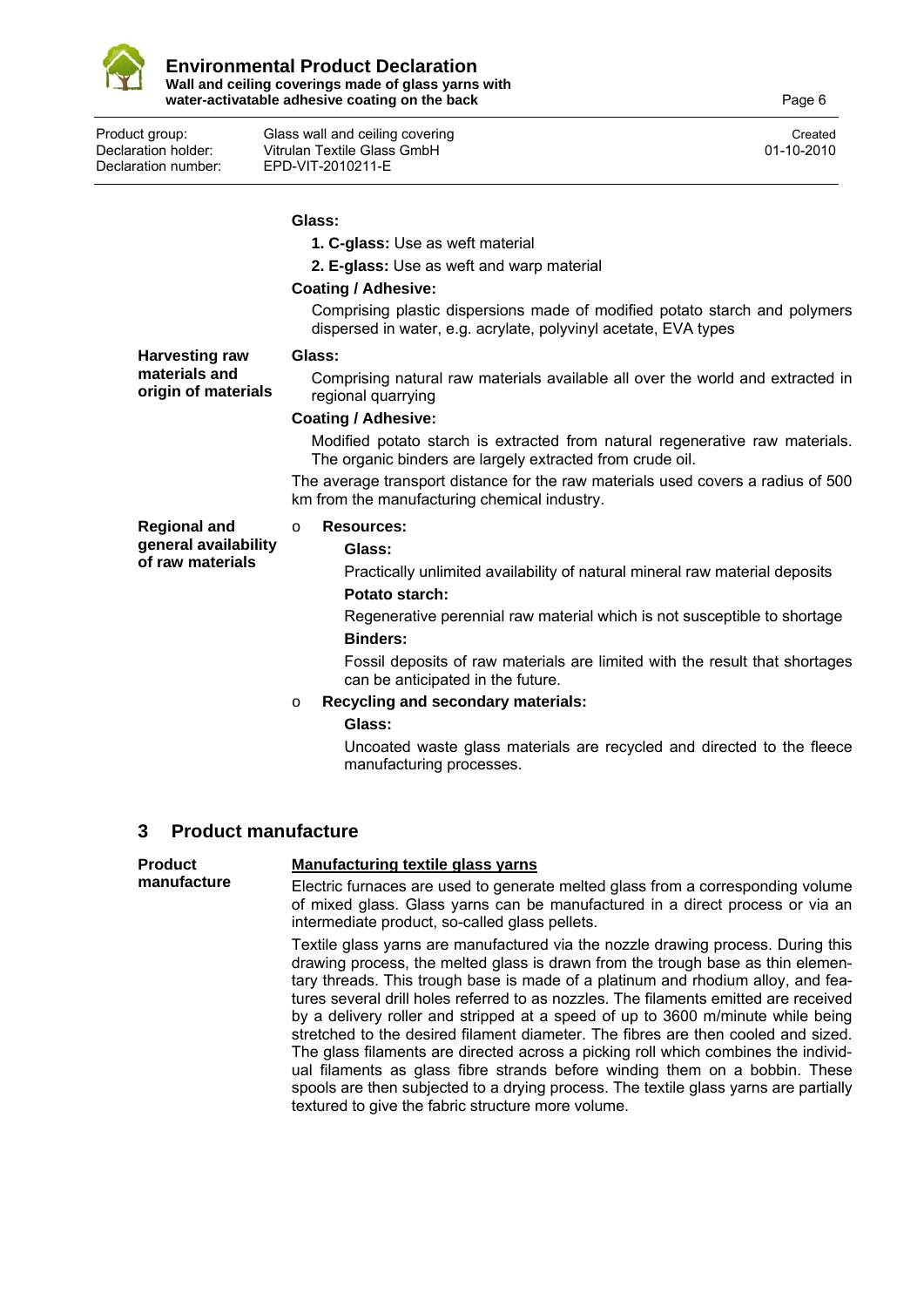

**Glass:** 

**1. C-glass:** Use as weft material **2. E-glass:** Use as weft and warp material **Coating / Adhesive:**  Comprising plastic dispersions made of modified potato starch and polymers dispersed in water, e.g. acrylate, polyvinyl acetate, EVA types **Harvesting raw materials and origin of materials Glass:**  Comprising natural raw materials available all over the world and extracted in regional quarrying **Coating / Adhesive:**  Modified potato starch is extracted from natural regenerative raw materials. The organic binders are largely extracted from crude oil. The average transport distance for the raw materials used covers a radius of 500 km from the manufacturing chemical industry. **Regional and general availability of raw materials**  o **Resources: Glass:**  Practically unlimited availability of natural mineral raw material deposits **Potato starch:**  Regenerative perennial raw material which is not susceptible to shortage **Binders:** Fossil deposits of raw materials are limited with the result that shortages can be anticipated in the future. o **Recycling and secondary materials:** 

#### **Glass:**

Uncoated waste glass materials are recycled and directed to the fleece manufacturing processes.

### **3 Product manufacture**

| <b>Product</b> | <b>Manufacturing textile glass yarns</b>                                                                                                                                                                                                                                                                                                                                                                                                                                                                                                                                                                                                                                                                                                                                                                                                   |
|----------------|--------------------------------------------------------------------------------------------------------------------------------------------------------------------------------------------------------------------------------------------------------------------------------------------------------------------------------------------------------------------------------------------------------------------------------------------------------------------------------------------------------------------------------------------------------------------------------------------------------------------------------------------------------------------------------------------------------------------------------------------------------------------------------------------------------------------------------------------|
| manufacture    | Electric furnaces are used to generate melted glass from a corresponding volume<br>of mixed glass. Glass yarns can be manufactured in a direct process or via an<br>intermediate product, so-called glass pellets.                                                                                                                                                                                                                                                                                                                                                                                                                                                                                                                                                                                                                         |
|                | Textile glass yarns are manufactured via the nozzle drawing process. During this<br>drawing process, the melted glass is drawn from the trough base as thin elemen-<br>tary threads. This trough base is made of a platinum and rhodium alloy, and fea-<br>tures several drill holes referred to as nozzles. The filaments emitted are received<br>by a delivery roller and stripped at a speed of up to 3600 m/minute while being<br>stretched to the desired filament diameter. The fibres are then cooled and sized.<br>The glass filaments are directed across a picking roll which combines the individ-<br>ual filaments as glass fibre strands before winding them on a bobbin. These<br>spools are then subjected to a drying process. The textile glass yarns are partially<br>textured to give the fabric structure more volume. |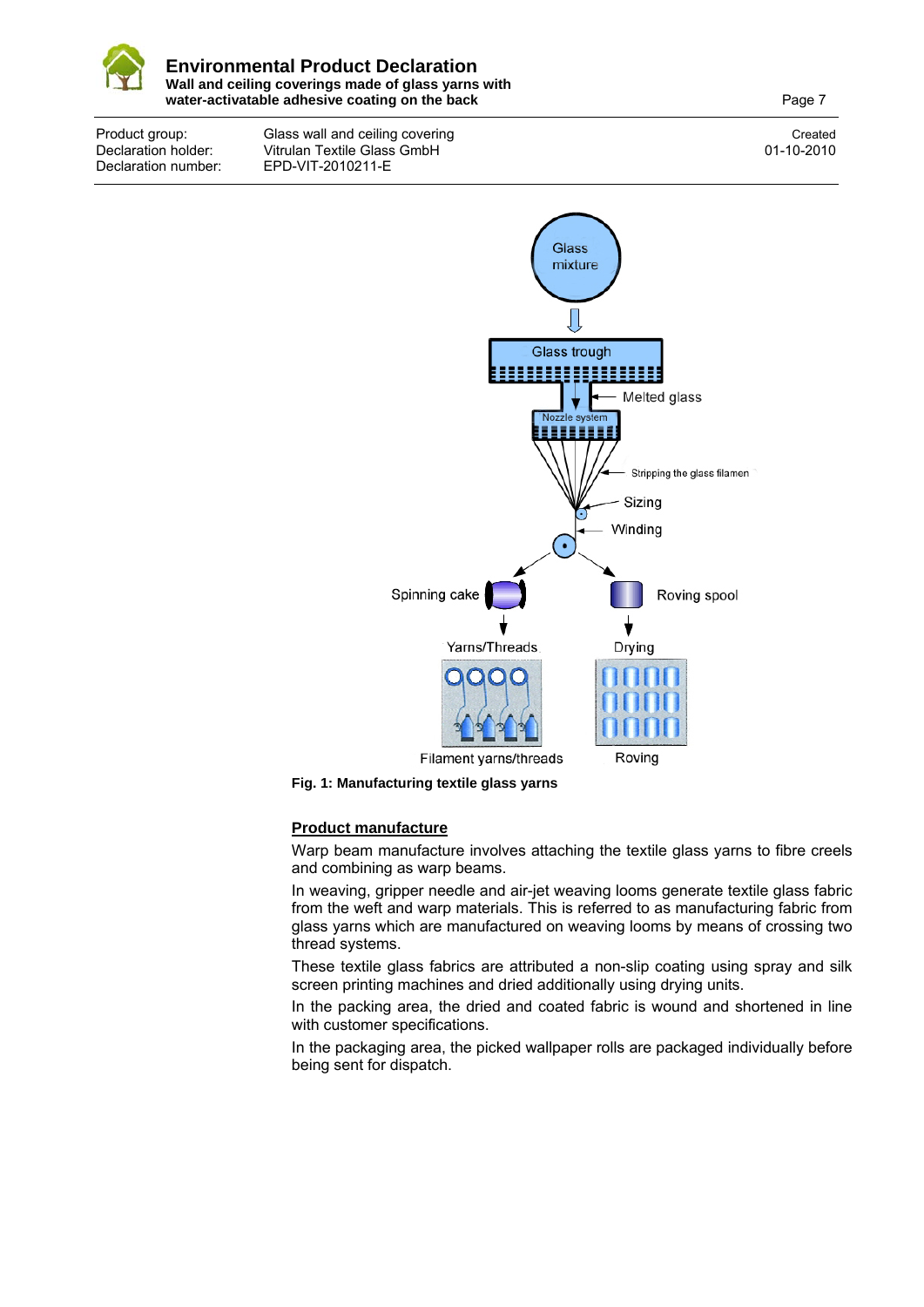

Product group: Glass wall and ceiling covering Created Created Created Created Declaration holder: Vitrulan Textile Glass GmbH<br>Declaration number: FPD-VIT-2010211-F Declaration number: EPD-VIT-2010211-E





### **Product manufacture**

Warp beam manufacture involves attaching the textile glass yarns to fibre creels and combining as warp beams.

In weaving, gripper needle and air-jet weaving looms generate textile glass fabric from the weft and warp materials. This is referred to as manufacturing fabric from glass yarns which are manufactured on weaving looms by means of crossing two thread systems.

These textile glass fabrics are attributed a non-slip coating using spray and silk screen printing machines and dried additionally using drying units.

In the packing area, the dried and coated fabric is wound and shortened in line with customer specifications.

In the packaging area, the picked wallpaper rolls are packaged individually before being sent for dispatch.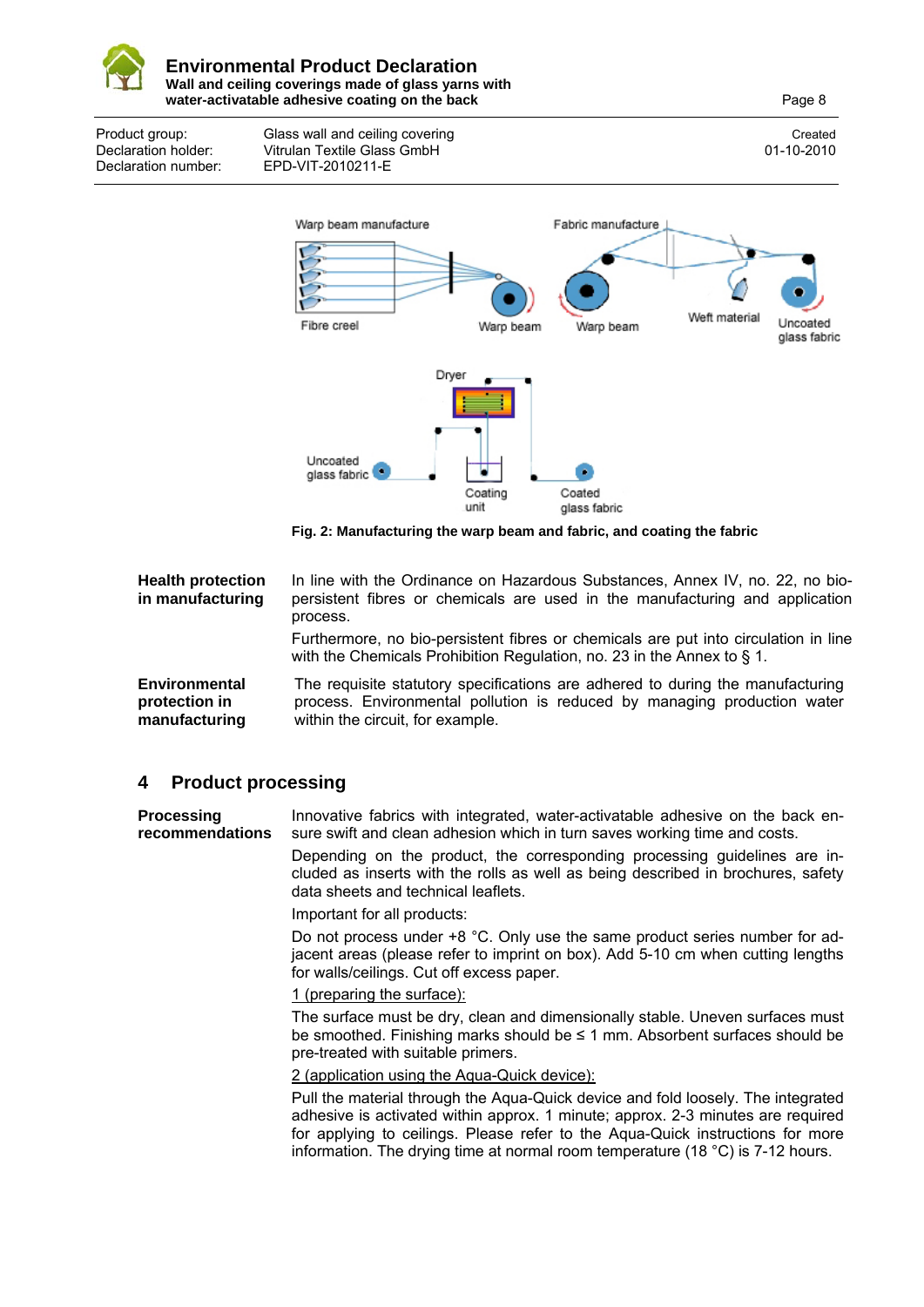

Product group: Glass wall and ceiling covering Created Created Created Created Declaration holder: Vitrulan Textile Glass GmbH 01-10-2010 Declaration number: EPD-VIT-2010211-E



**Fig. 2: Manufacturing the warp beam and fabric, and coating the fabric** 

**Health protection in manufacturing**  In line with the Ordinance on Hazardous Substances, Annex IV, no. 22, no biopersistent fibres or chemicals are used in the manufacturing and application process. Furthermore, no bio-persistent fibres or chemicals are put into circulation in line with the Chemicals Prohibition Regulation, no. 23 in the Annex to § 1. **Environmental protection in manufacturing**  The requisite statutory specifications are adhered to during the manufacturing process. Environmental pollution is reduced by managing production water within the circuit, for example.

### **4 Product processing**

**Processing recommendations**  Innovative fabrics with integrated, water-activatable adhesive on the back ensure swift and clean adhesion which in turn saves working time and costs.

> Depending on the product, the corresponding processing guidelines are included as inserts with the rolls as well as being described in brochures, safety data sheets and technical leaflets.

Important for all products:

Do not process under  $+8$  °C. Only use the same product series number for adjacent areas (please refer to imprint on box). Add 5-10 cm when cutting lengths for walls/ceilings. Cut off excess paper.

### 1 (preparing the surface):

The surface must be dry, clean and dimensionally stable. Uneven surfaces must be smoothed. Finishing marks should be ≤ 1 mm. Absorbent surfaces should be pre-treated with suitable primers.

### 2 (application using the Aqua-Quick device):

Pull the material through the Aqua-Quick device and fold loosely. The integrated adhesive is activated within approx. 1 minute; approx. 2-3 minutes are required for applying to ceilings. Please refer to the Aqua-Quick instructions for more information. The drying time at normal room temperature (18 °C) is 7-12 hours.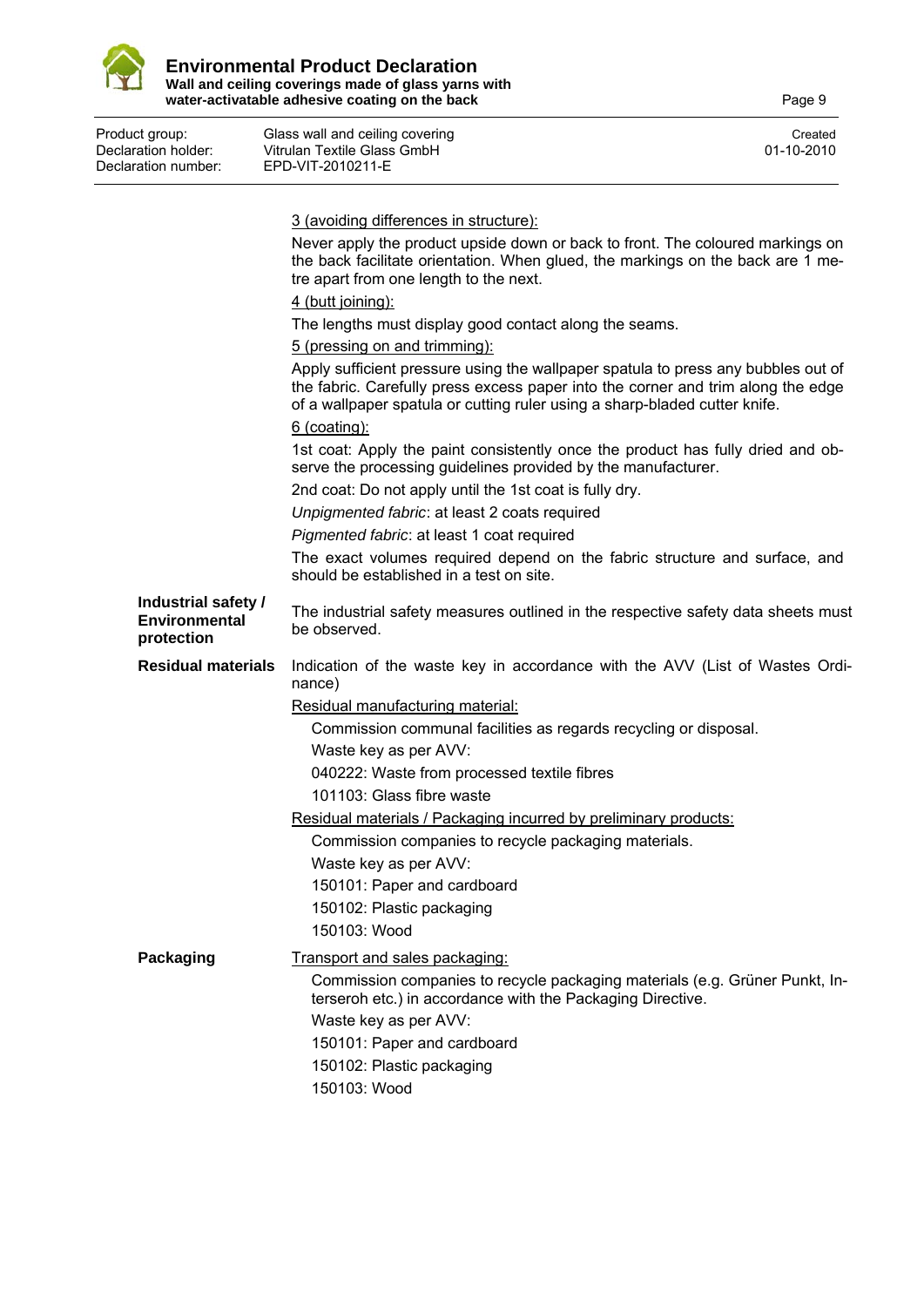

| Declaration holder:<br>Declaration number:         | Vitrulan Textile Glass GmbH<br>EPD-VIT-2010211-E                                                                                                                                                                                                    | 01-10-2010 |
|----------------------------------------------------|-----------------------------------------------------------------------------------------------------------------------------------------------------------------------------------------------------------------------------------------------------|------------|
|                                                    | 3 (avoiding differences in structure):                                                                                                                                                                                                              |            |
|                                                    | Never apply the product upside down or back to front. The coloured markings on<br>the back facilitate orientation. When glued, the markings on the back are 1 me-<br>tre apart from one length to the next.                                         |            |
|                                                    | 4 (butt joining):                                                                                                                                                                                                                                   |            |
|                                                    | The lengths must display good contact along the seams.                                                                                                                                                                                              |            |
|                                                    | 5 (pressing on and trimming):                                                                                                                                                                                                                       |            |
|                                                    | Apply sufficient pressure using the wallpaper spatula to press any bubbles out of<br>the fabric. Carefully press excess paper into the corner and trim along the edge<br>of a wallpaper spatula or cutting ruler using a sharp-bladed cutter knife. |            |
|                                                    | $6$ (coating):                                                                                                                                                                                                                                      |            |
|                                                    | 1st coat: Apply the paint consistently once the product has fully dried and ob-<br>serve the processing guidelines provided by the manufacturer.                                                                                                    |            |
|                                                    | 2nd coat: Do not apply until the 1st coat is fully dry.                                                                                                                                                                                             |            |
|                                                    | Unpigmented fabric: at least 2 coats required                                                                                                                                                                                                       |            |
|                                                    | Pigmented fabric: at least 1 coat required                                                                                                                                                                                                          |            |
|                                                    | The exact volumes required depend on the fabric structure and surface, and<br>should be established in a test on site.                                                                                                                              |            |
| Industrial safety /<br>Environmental<br>protection | The industrial safety measures outlined in the respective safety data sheets must<br>be observed.                                                                                                                                                   |            |
| <b>Residual materials</b>                          | Indication of the waste key in accordance with the AVV (List of Wastes Ordi-<br>nance)                                                                                                                                                              |            |
|                                                    | Residual manufacturing material:                                                                                                                                                                                                                    |            |
|                                                    | Commission communal facilities as regards recycling or disposal.                                                                                                                                                                                    |            |
|                                                    | Waste key as per AVV:                                                                                                                                                                                                                               |            |
|                                                    | 040222: Waste from processed textile fibres                                                                                                                                                                                                         |            |
|                                                    | 101103: Glass fibre waste                                                                                                                                                                                                                           |            |
|                                                    | Residual materials / Packaging incurred by preliminary products:                                                                                                                                                                                    |            |
|                                                    | Commission companies to recycle packaging materials.                                                                                                                                                                                                |            |
|                                                    | Waste key as per AVV:                                                                                                                                                                                                                               |            |
|                                                    | 150101: Paper and cardboard                                                                                                                                                                                                                         |            |
|                                                    | 150102: Plastic packaging                                                                                                                                                                                                                           |            |
|                                                    | 150103: Wood                                                                                                                                                                                                                                        |            |
| Packaging                                          | Transport and sales packaging:                                                                                                                                                                                                                      |            |
|                                                    | Commission companies to recycle packaging materials (e.g. Grüner Punkt, In-<br>terseroh etc.) in accordance with the Packaging Directive.                                                                                                           |            |
|                                                    | Waste key as per AVV:                                                                                                                                                                                                                               |            |
|                                                    | 150101: Paper and cardboard                                                                                                                                                                                                                         |            |
|                                                    | 150102: Plastic packaging                                                                                                                                                                                                                           |            |
|                                                    | 150103: Wood                                                                                                                                                                                                                                        |            |
|                                                    |                                                                                                                                                                                                                                                     |            |

Product group: Glass wall and ceiling covering Created Created Created Created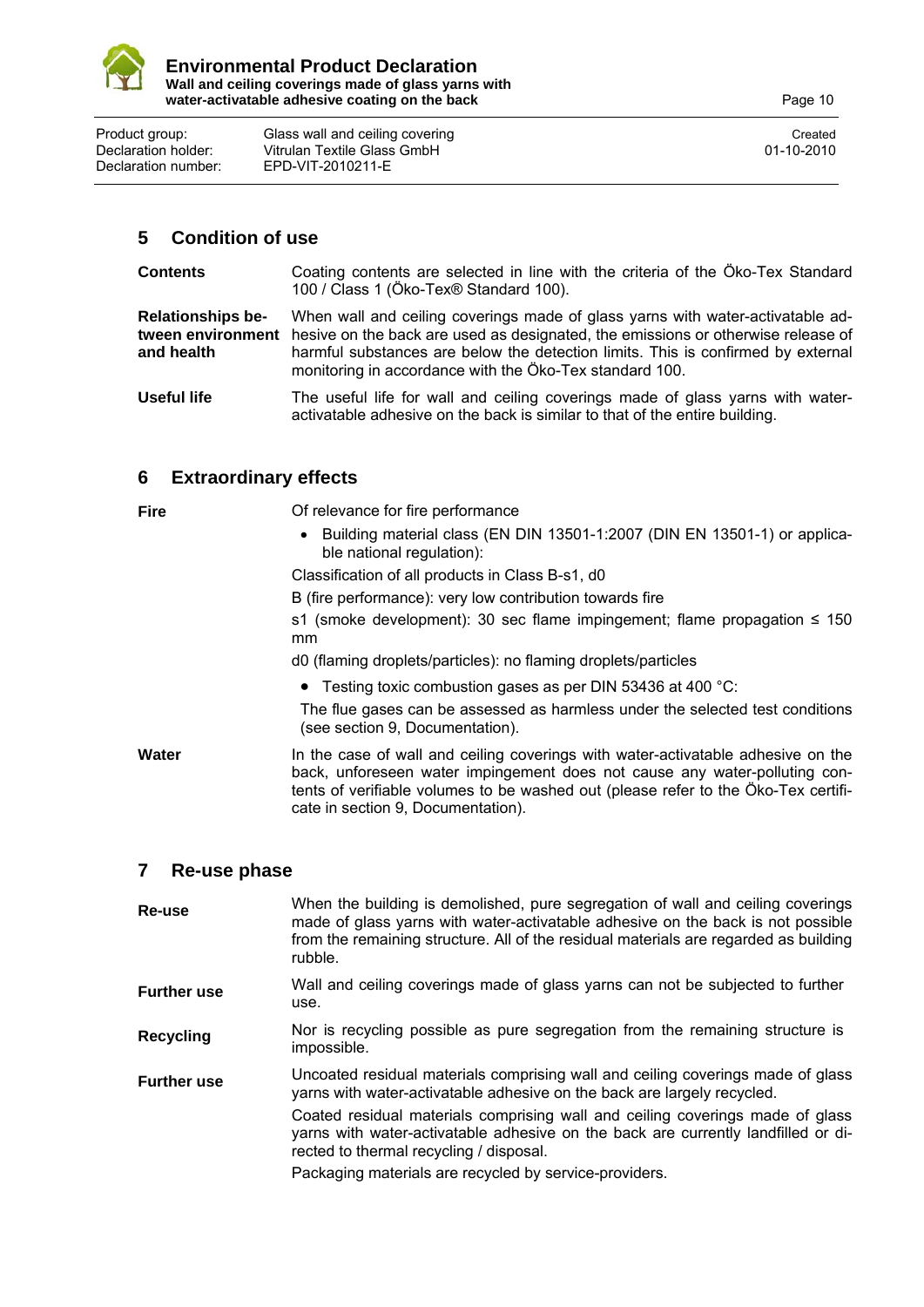

Product group: Glass wall and ceiling covering Created Created Created Created Declaration holder: Vitrulan Textile Glass GmbH 01-10-2010<br>Declaration number: EPD-VIT-2010211-E Declaration number: EPD-VIT-2010211-E

### **5 Condition of use**

| <b>Contents</b>                        | Coating contents are selected in line with the criteria of the Öko-Tex Standard<br>100 / Class 1 (Öko-Tex® Standard 100).                                                                                                                                                                                                           |
|----------------------------------------|-------------------------------------------------------------------------------------------------------------------------------------------------------------------------------------------------------------------------------------------------------------------------------------------------------------------------------------|
| <b>Relationships be-</b><br>and health | When wall and ceiling coverings made of glass yarns with water-activatable ad-<br>tween environment hesive on the back are used as designated, the emissions or otherwise release of<br>harmful substances are below the detection limits. This is confirmed by external<br>monitoring in accordance with the Öko-Tex standard 100. |

Useful life The useful life for wall and ceiling coverings made of glass yarns with wateractivatable adhesive on the back is similar to that of the entire building.

### **6 Extraordinary effects**

| <b>Fire</b> | Of relevance for fire performance<br>• Building material class (EN DIN 13501-1:2007 (DIN EN 13501-1) or applica-<br>ble national regulation):<br>Classification of all products in Class B-s1, d0<br>B (fire performance): very low contribution towards fire                              |
|-------------|--------------------------------------------------------------------------------------------------------------------------------------------------------------------------------------------------------------------------------------------------------------------------------------------|
|             | s1 (smoke development): 30 sec flame impingement; flame propagation $\leq$ 150<br><sub>mm</sub><br>d0 (flaming droplets/particles): no flaming droplets/particles                                                                                                                          |
|             | • Testing toxic combustion gases as per DIN 53436 at 400 $^{\circ}$ C:<br>The flue gases can be assessed as harmless under the selected test conditions<br>(see section 9, Documentation).                                                                                                 |
| Water       | In the case of wall and ceiling coverings with water-activatable adhesive on the<br>back, unforeseen water impingement does not cause any water-polluting con-<br>tents of verifiable volumes to be washed out (please refer to the Öko-Tex certifi-<br>cate in section 9, Documentation). |

### **7 Re-use phase**

| Re-use             | When the building is demolished, pure segregation of wall and ceiling coverings<br>made of glass yarns with water-activatable adhesive on the back is not possible<br>from the remaining structure. All of the residual materials are regarded as building<br>rubble. |
|--------------------|-----------------------------------------------------------------------------------------------------------------------------------------------------------------------------------------------------------------------------------------------------------------------|
| <b>Further use</b> | Wall and ceiling coverings made of glass yarns can not be subjected to further<br>use.                                                                                                                                                                                |
| <b>Recycling</b>   | Nor is recycling possible as pure segregation from the remaining structure is<br>impossible.                                                                                                                                                                          |
| <b>Further use</b> | Uncoated residual materials comprising wall and ceiling coverings made of glass<br>yarns with water-activatable adhesive on the back are largely recycled.                                                                                                            |
|                    | Coated residual materials comprising wall and ceiling coverings made of glass<br>yarns with water-activatable adhesive on the back are currently landfilled or di-<br>rected to thermal recycling / disposal.                                                         |
|                    | Packaging materials are recycled by service-providers.                                                                                                                                                                                                                |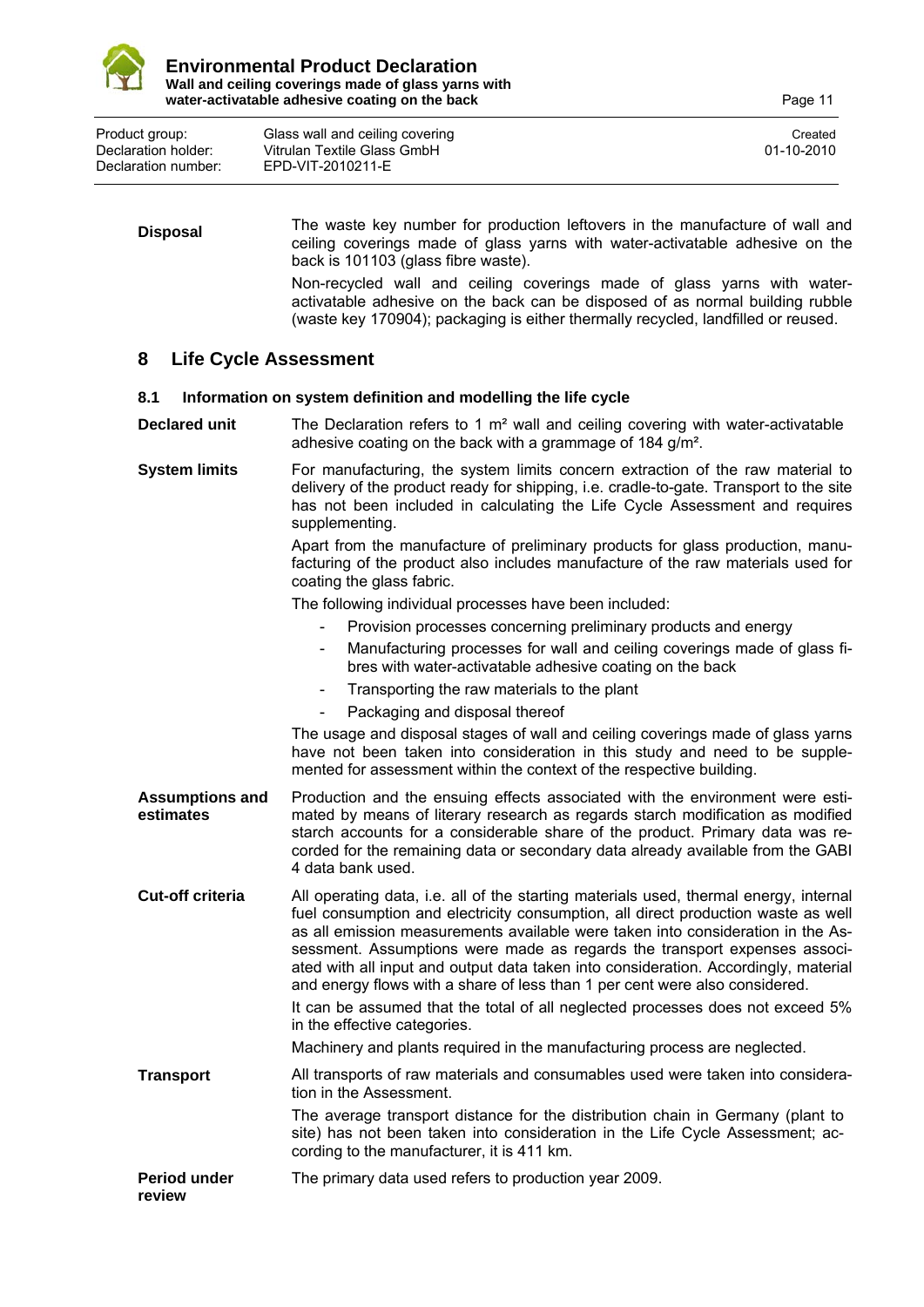

Product group: Glass wall and ceiling covering Created Created Created Created Created Declaration holder: Vitrulan Textile Glass GmbH 01-10-2010 Declaration number: EPD-VIT-2010211-E

**Disposal** The waste key number for production leftovers in the manufacture of wall and ceiling coverings made of glass yarns with water-activatable adhesive on the back is 101103 (glass fibre waste). Non-recycled wall and ceiling coverings made of glass yarns with wateractivatable adhesive on the back can be disposed of as normal building rubble (waste key 170904); packaging is either thermally recycled, landfilled or reused.

### **8 Life Cycle Assessment**

### **8.1 Information on system definition and modelling the life cycle**

**Declared unit** The Declaration refers to 1 m<sup>2</sup> wall and ceiling covering with water-activatable adhesive coating on the back with a grammage of 184 g/m².

**System limits** For manufacturing, the system limits concern extraction of the raw material to delivery of the product ready for shipping, i.e. cradle-to-gate. Transport to the site has not been included in calculating the Life Cycle Assessment and requires supplementing.

> Apart from the manufacture of preliminary products for glass production, manufacturing of the product also includes manufacture of the raw materials used for coating the glass fabric.

The following individual processes have been included:

- Provision processes concerning preliminary products and energy
- Manufacturing processes for wall and ceiling coverings made of glass fibres with water-activatable adhesive coating on the back
- Transporting the raw materials to the plant
- Packaging and disposal thereof

The usage and disposal stages of wall and ceiling coverings made of glass yarns have not been taken into consideration in this study and need to be supplemented for assessment within the context of the respective building.

**Assumptions and estimates**  Production and the ensuing effects associated with the environment were estimated by means of literary research as regards starch modification as modified starch accounts for a considerable share of the product. Primary data was recorded for the remaining data or secondary data already available from the GABI 4 data bank used.

**Cut-off criteria** All operating data, i.e. all of the starting materials used, thermal energy, internal fuel consumption and electricity consumption, all direct production waste as well as all emission measurements available were taken into consideration in the Assessment. Assumptions were made as regards the transport expenses associated with all input and output data taken into consideration. Accordingly, material and energy flows with a share of less than 1 per cent were also considered.

It can be assumed that the total of all neglected processes does not exceed 5% in the effective categories.

Machinery and plants required in the manufacturing process are neglected.

**Transport** All transports of raw materials and consumables used were taken into consideration in the Assessment.

> The average transport distance for the distribution chain in Germany (plant to site) has not been taken into consideration in the Life Cycle Assessment; according to the manufacturer, it is 411 km.

**Period under**  The primary data used refers to production year 2009.

**review**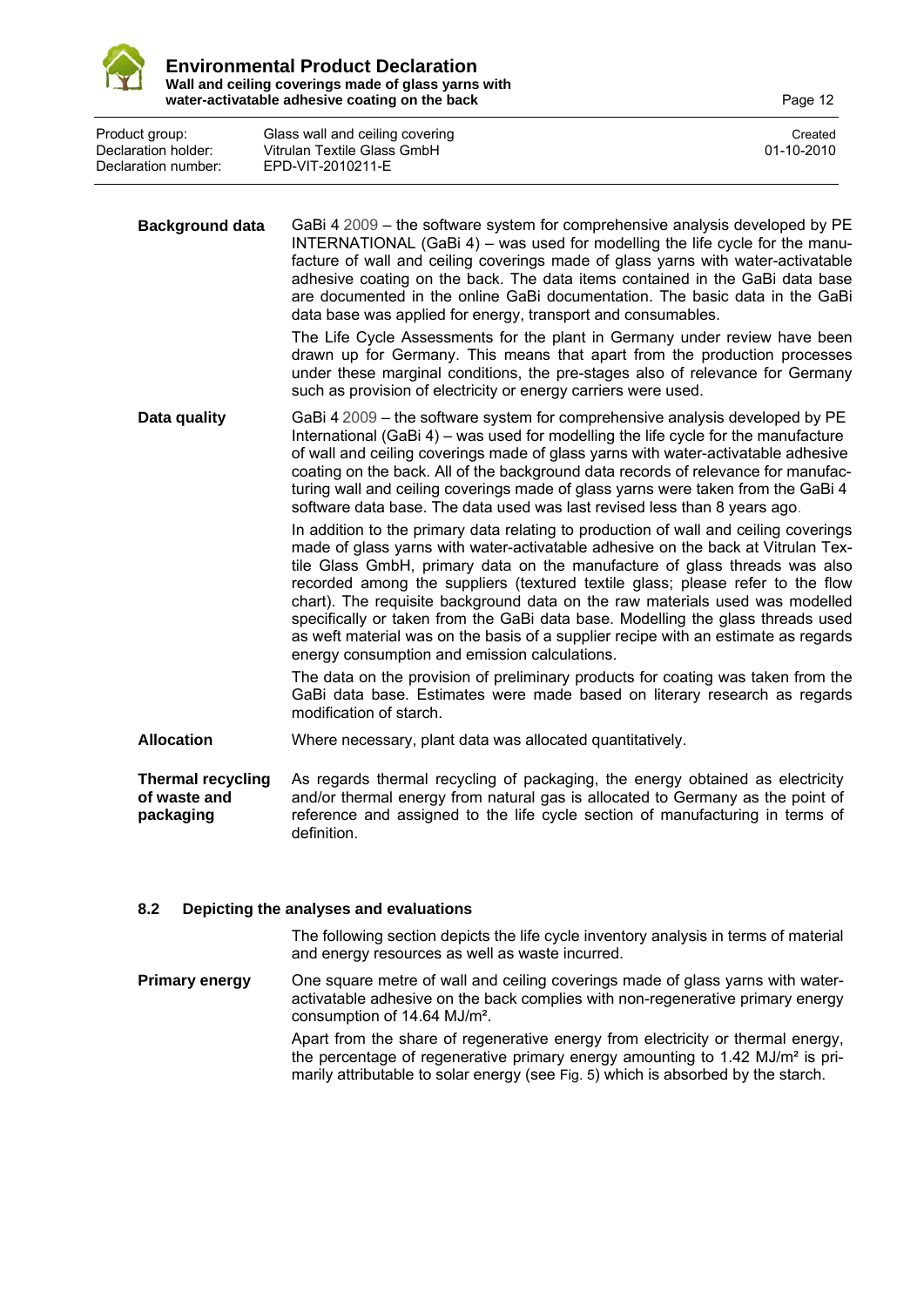

Product group: Glass wall and ceiling covering Created Created Created Created Created Declaration holder: Vitrulan Textile Glass GmbH 01-10-2010 Declaration number: EPD-VIT-2010211-E

**Background data** GaBi 4 2009 – the software system for comprehensive analysis developed by PE INTERNATIONAL (GaBi 4) – was used for modelling the life cycle for the manufacture of wall and ceiling coverings made of glass yarns with water-activatable adhesive coating on the back. The data items contained in the GaBi data base are documented in the online GaBi documentation. The basic data in the GaBi data base was applied for energy, transport and consumables. The Life Cycle Assessments for the plant in Germany under review have been drawn up for Germany. This means that apart from the production processes under these marginal conditions, the pre-stages also of relevance for Germany such as provision of electricity or energy carriers were used. **Data quality** GaBi 4 2009 – the software system for comprehensive analysis developed by PE International (GaBi 4) – was used for modelling the life cycle for the manufacture of wall and ceiling coverings made of glass yarns with water-activatable adhesive coating on the back. All of the background data records of relevance for manufacturing wall and ceiling coverings made of glass yarns were taken from the GaBi 4 software data base. The data used was last revised less than 8 years ago. In addition to the primary data relating to production of wall and ceiling coverings made of glass yarns with water-activatable adhesive on the back at Vitrulan Textile Glass GmbH, primary data on the manufacture of glass threads was also recorded among the suppliers (textured textile glass; please refer to the flow chart). The requisite background data on the raw materials used was modelled specifically or taken from the GaBi data base. Modelling the glass threads used as weft material was on the basis of a supplier recipe with an estimate as regards energy consumption and emission calculations. The data on the provision of preliminary products for coating was taken from the GaBi data base. Estimates were made based on literary research as regards modification of starch. **Allocation** Where necessary, plant data was allocated quantitatively. **Thermal recycling of waste and packaging**  As regards thermal recycling of packaging, the energy obtained as electricity and/or thermal energy from natural gas is allocated to Germany as the point of reference and assigned to the life cycle section of manufacturing in terms of definition.

### **8.2 Depicting the analyses and evaluations**

The following section depicts the life cycle inventory analysis in terms of material and energy resources as well as waste incurred.

**Primary energy** One square metre of wall and ceiling coverings made of glass varns with wateractivatable adhesive on the back complies with non-regenerative primary energy consumption of 14.64 MJ/m².

> Apart from the share of regenerative energy from electricity or thermal energy, the percentage of regenerative primary energy amounting to 1.42 MJ/m² is primarily attributable to solar energy (see Fig. 5) which is absorbed by the starch.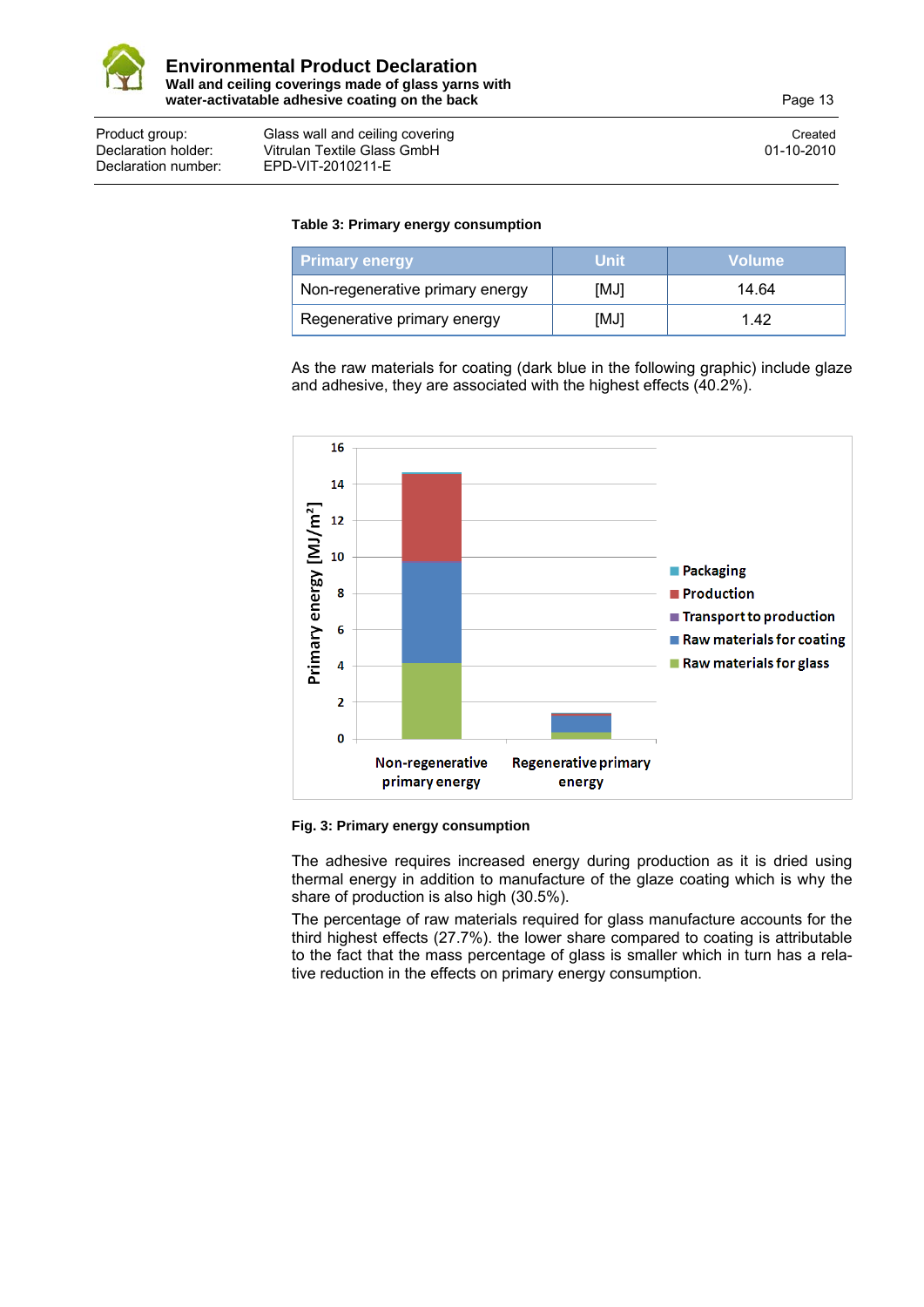

#### Product group: Glass wall and ceiling covering Created Created Created Created Declaration holder: Vitrulan Textile Glass GmbH<br>Declaration number: FPD-VIT-2010211-F Declaration number: EPD-VIT-2010211-E

### **Table 3: Primary energy consumption**

| <b>Primary energy</b>           | Unit | <b>Volume</b> |
|---------------------------------|------|---------------|
| Non-regenerative primary energy | [MJ] | 14.64         |
| Regenerative primary energy     | [MJ] | 1 42          |

As the raw materials for coating (dark blue in the following graphic) include glaze and adhesive, they are associated with the highest effects (40.2%).



### **Fig. 3: Primary energy consumption**

The adhesive requires increased energy during production as it is dried using thermal energy in addition to manufacture of the glaze coating which is why the share of production is also high (30.5%).

The percentage of raw materials required for glass manufacture accounts for the third highest effects (27.7%). the lower share compared to coating is attributable to the fact that the mass percentage of glass is smaller which in turn has a relative reduction in the effects on primary energy consumption.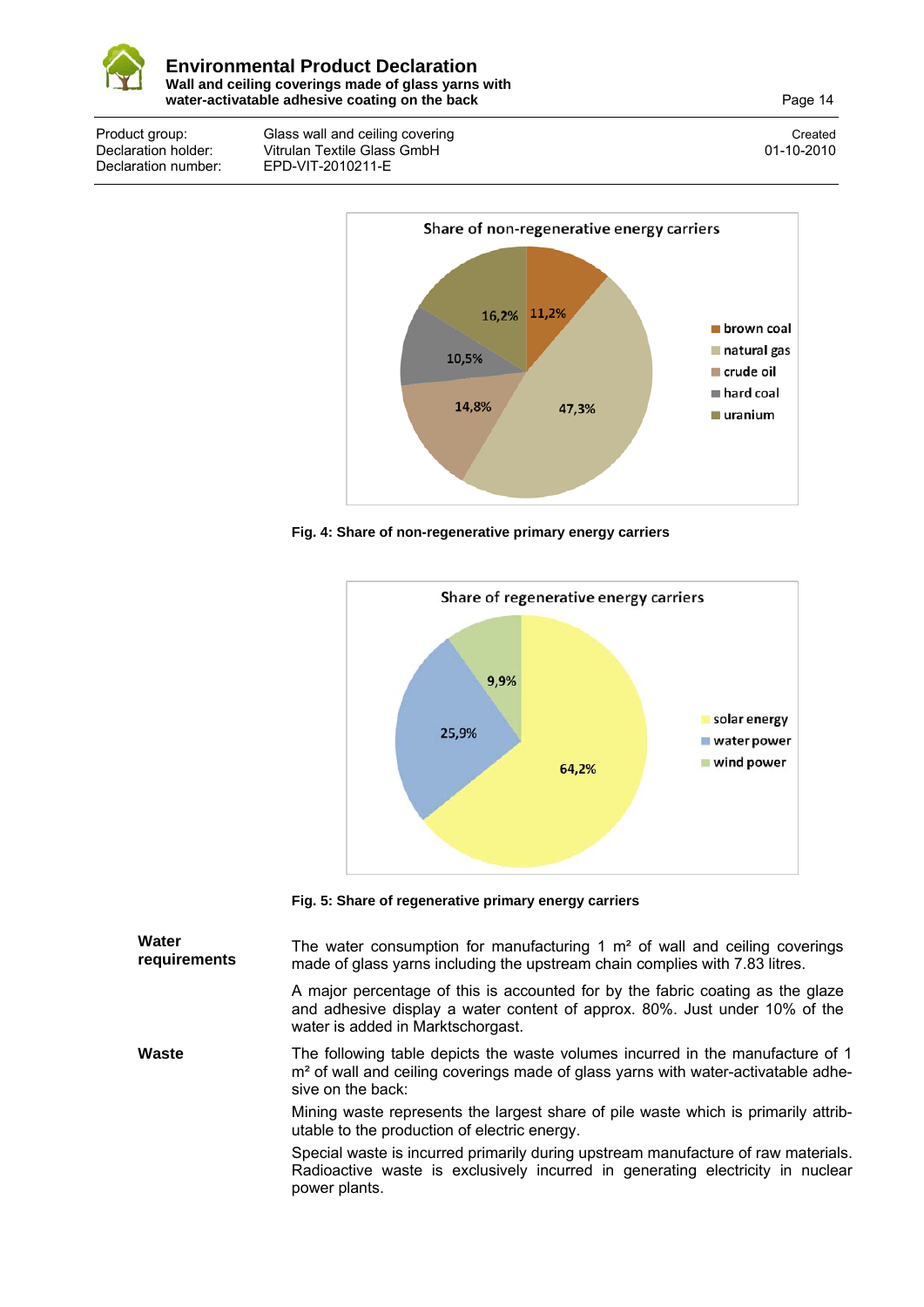

Product group: Class wall and ceiling covering<br>
Declaration holder: Vitrulan Textile Glass GmbH<br>
01-10-2010 Declaration holder: Vitrulan Textile Glass GmbH<br>Declaration number: EPD-VIT-2010211-E Declaration number: EPD-VIT-2010211-E



**Fig. 4: Share of non-regenerative primary energy carriers** 



**Fig. 5: Share of regenerative primary energy carriers**

| Water<br>requirements | The water consumption for manufacturing 1 $m2$ of wall and ceiling coverings<br>made of glass yarns including the upstream chain complies with 7.83 litres.                                          |
|-----------------------|------------------------------------------------------------------------------------------------------------------------------------------------------------------------------------------------------|
|                       | A major percentage of this is accounted for by the fabric coating as the glaze<br>and adhesive display a water content of approx. 80%. Just under 10% of the<br>water is added in Marktschorgast.    |
| Waste                 | The following table depicts the waste volumes incurred in the manufacture of 1<br>m <sup>2</sup> of wall and ceiling coverings made of glass yarns with water-activatable adhe-<br>sive on the back: |
|                       | Mining waste represents the largest share of pile waste which is primarily attrib-<br>utable to the production of electric energy.                                                                   |
|                       | Special waste is incurred primarily during upstream manufacture of raw materials.<br>Radioactive waste is exclusively incurred in generating electricity in nuclear<br>power plants.                 |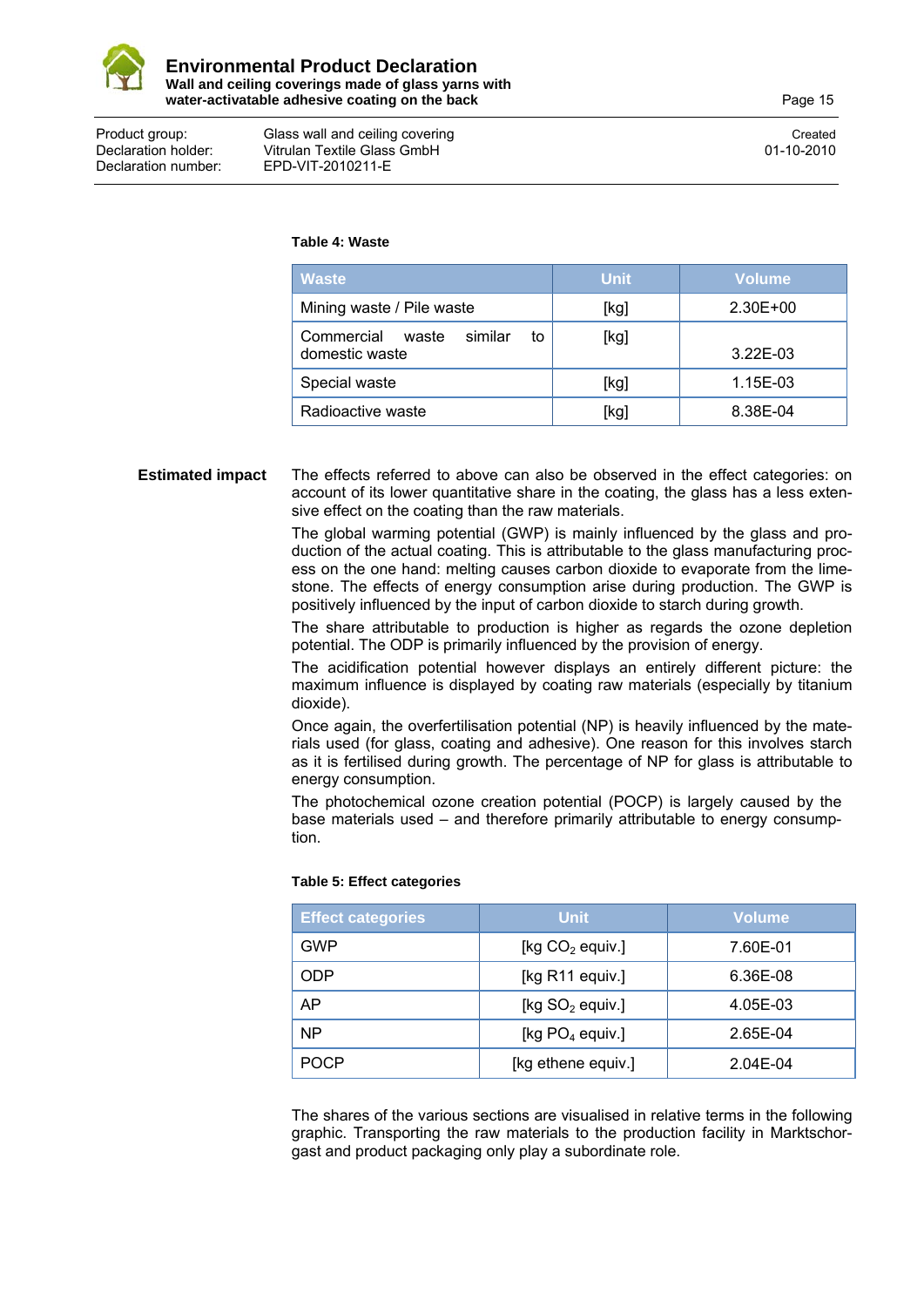

Declaration number: EPD-VIT-2010211-E

### Product group: Glass wall and ceiling covering Created Created Created Created Declaration holder: Vitrulan Textile Glass GmbH 01-10-2010

#### **Table 4: Waste**

| <b>Waste</b>                                           | <b>Unit</b> | <b>Volume</b> |
|--------------------------------------------------------|-------------|---------------|
| Mining waste / Pile waste                              | [kg]        | 2.30E+00      |
| Commercial<br>similar<br>waste<br>to<br>domestic waste | [kg]        | $3.22E - 03$  |
| Special waste                                          | [kg]        | 1.15E-03      |
| Radioactive waste                                      | [kg]        | 8.38E-04      |

### **Estimated impact** The effects referred to above can also be observed in the effect categories: on account of its lower quantitative share in the coating, the glass has a less extensive effect on the coating than the raw materials.

The global warming potential (GWP) is mainly influenced by the glass and production of the actual coating. This is attributable to the glass manufacturing process on the one hand: melting causes carbon dioxide to evaporate from the limestone. The effects of energy consumption arise during production. The GWP is positively influenced by the input of carbon dioxide to starch during growth.

The share attributable to production is higher as regards the ozone depletion potential. The ODP is primarily influenced by the provision of energy.

The acidification potential however displays an entirely different picture: the maximum influence is displayed by coating raw materials (especially by titanium dioxide).

Once again, the overfertilisation potential (NP) is heavily influenced by the materials used (for glass, coating and adhesive). One reason for this involves starch as it is fertilised during growth. The percentage of NP for glass is attributable to energy consumption.

The photochemical ozone creation potential (POCP) is largely caused by the base materials used – and therefore primarily attributable to energy consumption.

### **Table 5: Effect categories**

| <b>Effect categories</b> | <b>Unit</b>        | Volume   |
|--------------------------|--------------------|----------|
| GWP                      | [kg $CO2$ equiv.]  | 7.60E-01 |
| <b>ODP</b>               | [kg $R11$ equiv.]  | 6.36E-08 |
| AP                       | [kg $SO2$ equiv.]  | 4.05E-03 |
| <b>NP</b>                | [kg $PO4$ equiv.]  | 2.65E-04 |
| <b>POCP</b>              | [kg ethene equiv.] | 2.04E-04 |

The shares of the various sections are visualised in relative terms in the following graphic. Transporting the raw materials to the production facility in Marktschorgast and product packaging only play a subordinate role.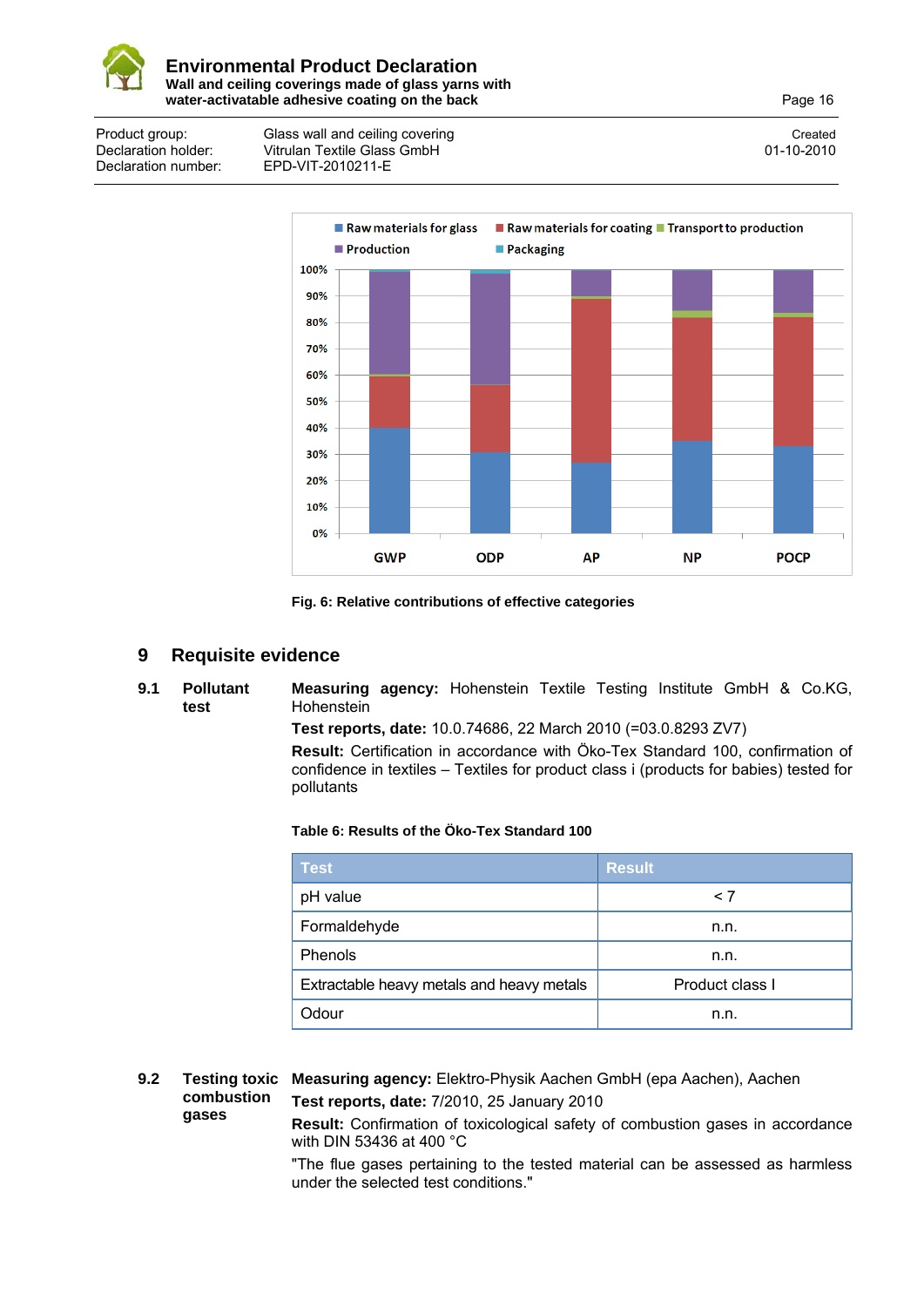

Product group: Glass wall and ceiling covering Created Created Created Created Declaration holder: Vitrulan Textile Glass GmbH<br>Declaration number: FPD-VIT-2010211-F Declaration number: EPD-VIT-2010211-E



**Fig. 6: Relative contributions of effective categories**

### **9 Requisite evidence**

**9.1 Pollutant test Measuring agency:** Hohenstein Textile Testing Institute GmbH & Co.KG, Hohenstein

**Test reports, date:** 10.0.74686, 22 March 2010 (=03.0.8293 ZV7)

**Result:** Certification in accordance with Öko-Tex Standard 100, confirmation of confidence in textiles – Textiles for product class i (products for babies) tested for pollutants

### **Table 6: Results of the Öko-Tex Standard 100**

| <b>Test</b>                               | <b>Result</b>   |
|-------------------------------------------|-----------------|
| pH value                                  | $\leq 7$        |
| Formaldehyde                              | n.n.            |
| Phenols                                   | n.n.            |
| Extractable heavy metals and heavy metals | Product class I |
| Odour                                     | n.n.            |

**9.2 Testing toxic Measuring agency:** Elektro-Physik Aachen GmbH (epa Aachen), Aachen **combustion gases Test reports, date:** 7/2010, 25 January 2010

**Result:** Confirmation of toxicological safety of combustion gases in accordance with DIN 53436 at 400 °C

"The flue gases pertaining to the tested material can be assessed as harmless under the selected test conditions."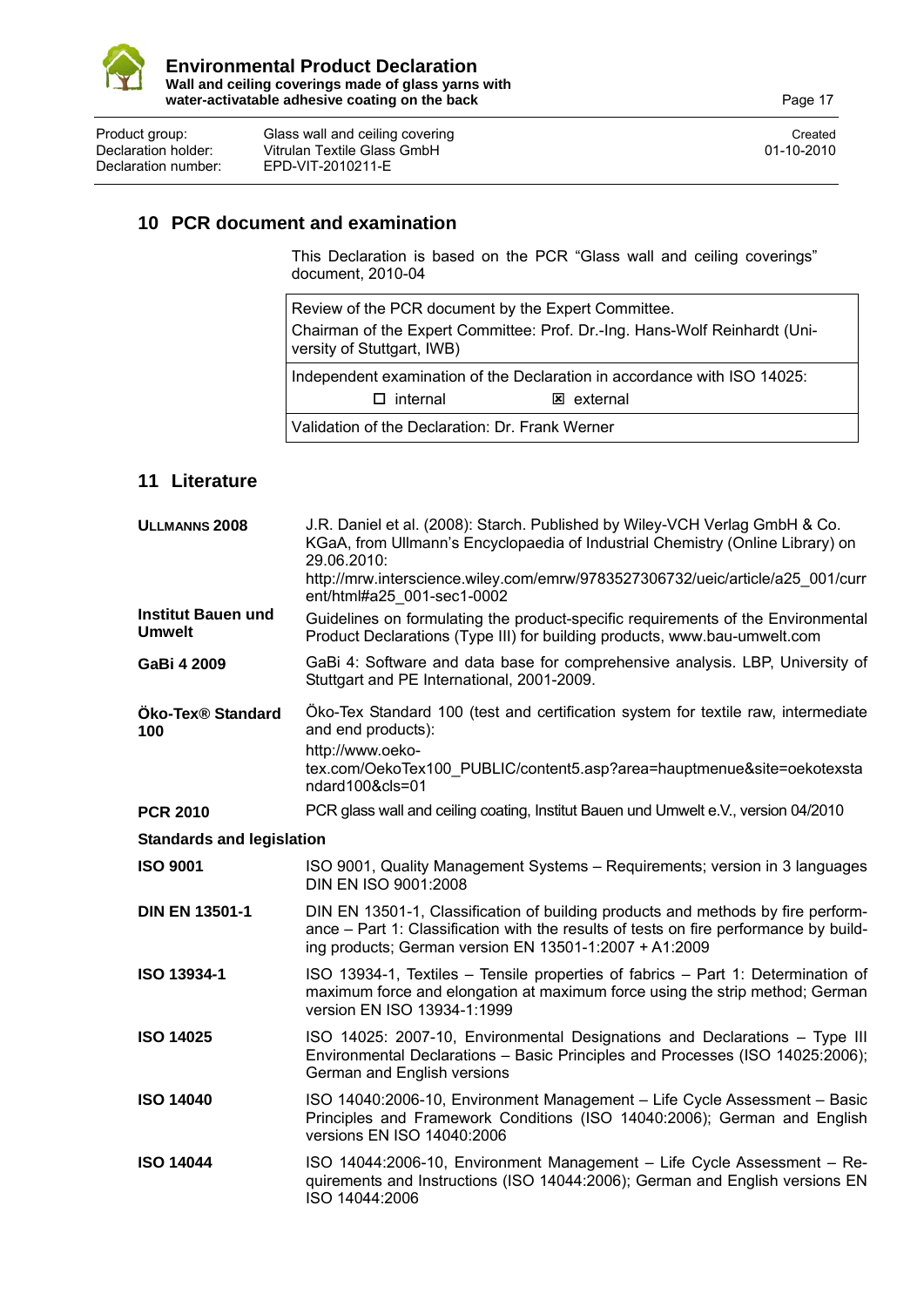

Product group: Glass wall and ceiling covering Created Created Created Created Declaration holder: Vitrulan Textile Glass GmbH 01-10-2010<br>Declaration number: EPD-VIT-2010211-E Declaration number: EPD-VIT-2010211-E

### **10 PCR document and examination**

This Declaration is based on the PCR "Glass wall and ceiling coverings" document, 2010-04

Review of the PCR document by the Expert Committee. Chairman of the Expert Committee: Prof. Dr.-Ing. Hans-Wolf Reinhardt (University of Stuttgart, IWB) Independent examination of the Declaration in accordance with ISO 14025:  $\square$  internal  $\square$  external

Validation of the Declaration: Dr. Frank Werner

### **11 Literature**

| ULLMANNS <sub>2008</sub>                   | J.R. Daniel et al. (2008): Starch. Published by Wiley-VCH Verlag GmbH & Co.<br>KGaA, from Ullmann's Encyclopaedia of Industrial Chemistry (Online Library) on<br>29.06.2010:                                                        |  |
|--------------------------------------------|-------------------------------------------------------------------------------------------------------------------------------------------------------------------------------------------------------------------------------------|--|
|                                            | http://mrw.interscience.wiley.com/emrw/9783527306732/ueic/article/a25_001/curr<br>ent/html#a25 001-sec1-0002                                                                                                                        |  |
| <b>Institut Bauen und</b><br><b>Umwelt</b> | Guidelines on formulating the product-specific requirements of the Environmental<br>Product Declarations (Type III) for building products, www.bau-umwelt.com                                                                       |  |
| GaBi 4 2009                                | GaBi 4: Software and data base for comprehensive analysis. LBP, University of<br>Stuttgart and PE International, 2001-2009.                                                                                                         |  |
| <b>Öko-Tex® Standard</b><br>100            | Öko-Tex Standard 100 (test and certification system for textile raw, intermediate<br>and end products):<br>http://www.oeko-<br>tex.com/OekoTex100 PUBLIC/content5.asp?area=hauptmenue&site=oekotexsta<br>ndard100&cls=01            |  |
| <b>PCR 2010</b>                            | PCR glass wall and ceiling coating, Institut Bauen und Umwelt e.V., version 04/2010                                                                                                                                                 |  |
| <b>Standards and legislation</b>           |                                                                                                                                                                                                                                     |  |
| <b>ISO 9001</b>                            | ISO 9001, Quality Management Systems - Requirements; version in 3 languages<br>DIN EN ISO 9001:2008                                                                                                                                 |  |
| <b>DIN EN 13501-1</b>                      | DIN EN 13501-1, Classification of building products and methods by fire perform-<br>ance - Part 1: Classification with the results of tests on fire performance by build-<br>ing products; German version EN 13501-1:2007 + A1:2009 |  |
| ISO 13934-1                                | ISO 13934-1, Textiles - Tensile properties of fabrics - Part 1: Determination of<br>maximum force and elongation at maximum force using the strip method; German<br>version EN ISO 13934-1:1999                                     |  |
| <b>ISO 14025</b>                           | ISO 14025: 2007-10, Environmental Designations and Declarations - Type III<br>Environmental Declarations - Basic Principles and Processes (ISO 14025:2006);<br>German and English versions                                          |  |
| <b>ISO 14040</b>                           | ISO 14040:2006-10, Environment Management - Life Cycle Assessment - Basic<br>Principles and Framework Conditions (ISO 14040:2006); German and English<br>versions EN ISO 14040:2006                                                 |  |
| <b>ISO 14044</b>                           | ISO 14044:2006-10, Environment Management - Life Cycle Assessment - Re-<br>quirements and Instructions (ISO 14044:2006); German and English versions EN<br>ISO 14044:2006                                                           |  |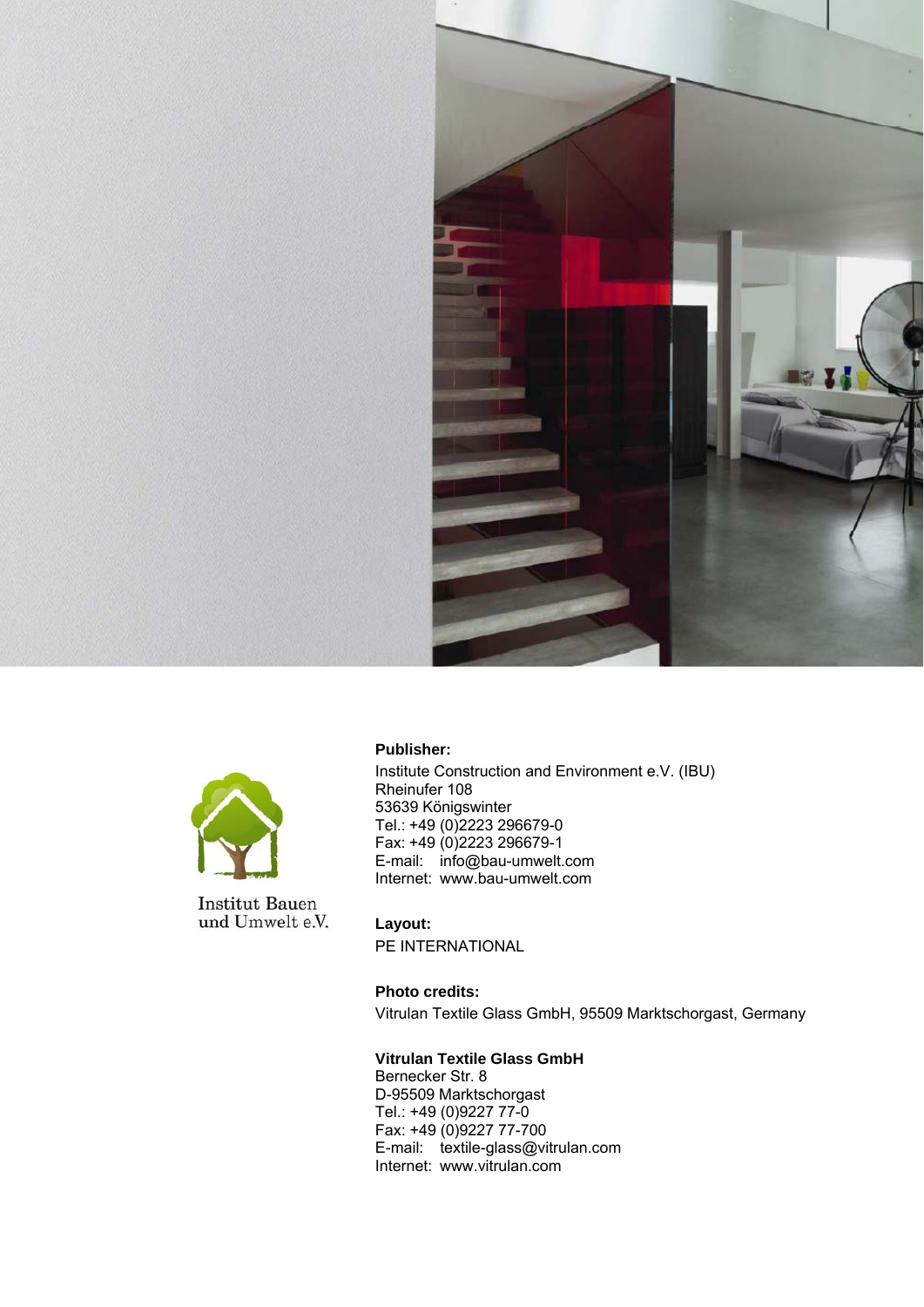



**Institut Bauen** und Umwelt e.V. **Publisher:** 

Institute Construction and Environment e.V. (IBU) Rheinufer 108 53639 Königswinter Tel.: +49 (0)2223 296679-0 Fax: +49 (0)2223 296679-1 E-mail: info@bau-umwelt.com Internet: www.bau-umwelt.com

**Layout:**  PE INTERNATIONAL

**Photo credits:**  Vitrulan Textile Glass GmbH, 95509 Marktschorgast, Germany

**Vitrulan Textile Glass GmbH**  Bernecker Str. 8 D-95509 Marktschorgast Tel.: +49 (0)9227 77-0 Fax: +49 (0)9227 77-700 E-mail: textile-glass@vitrulan.com Internet: www.vitrulan.com